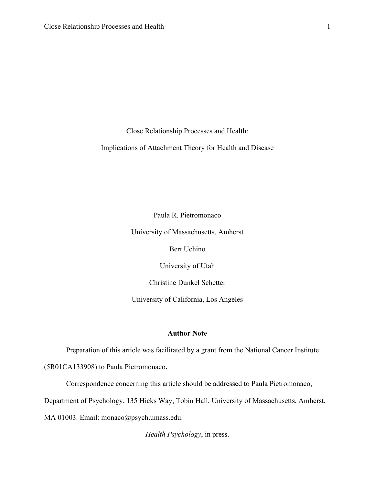Implications of Attachment Theory for Health and Disease

Paula R. Pietromonaco

University of Massachusetts, Amherst

Bert Uchino

University of Utah

Christine Dunkel Schetter

University of California, Los Angeles

# **Author Note**

Preparation of this article was facilitated by a grant from the National Cancer Institute

(5R01CA133908) to Paula Pietromonaco**.**

Correspondence concerning this article should be addressed to Paula Pietromonaco,

Department of Psychology, 135 Hicks Way, Tobin Hall, University of Massachusetts, Amherst,

MA 01003. Email: monaco@psych.umass.edu.

*Health Psychology*, in press.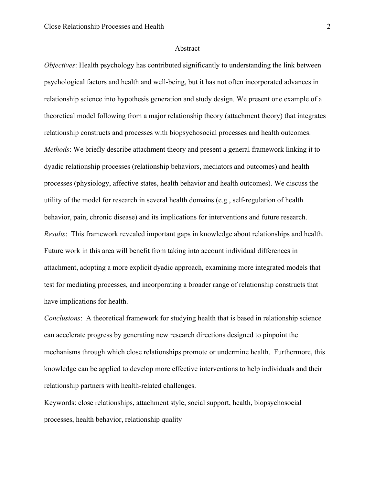#### Abstract

*Objectives*: Health psychology has contributed significantly to understanding the link between psychological factors and health and well-being, but it has not often incorporated advances in relationship science into hypothesis generation and study design. We present one example of a theoretical model following from a major relationship theory (attachment theory) that integrates relationship constructs and processes with biopsychosocial processes and health outcomes. *Methods*: We briefly describe attachment theory and present a general framework linking it to dyadic relationship processes (relationship behaviors, mediators and outcomes) and health processes (physiology, affective states, health behavior and health outcomes). We discuss the utility of the model for research in several health domains (e.g., self-regulation of health behavior, pain, chronic disease) and its implications for interventions and future research. *Results*: This framework revealed important gaps in knowledge about relationships and health. Future work in this area will benefit from taking into account individual differences in attachment, adopting a more explicit dyadic approach, examining more integrated models that test for mediating processes, and incorporating a broader range of relationship constructs that have implications for health.

*Conclusions*: A theoretical framework for studying health that is based in relationship science can accelerate progress by generating new research directions designed to pinpoint the mechanisms through which close relationships promote or undermine health. Furthermore, this knowledge can be applied to develop more effective interventions to help individuals and their relationship partners with health-related challenges.

Keywords: close relationships, attachment style, social support, health, biopsychosocial processes, health behavior, relationship quality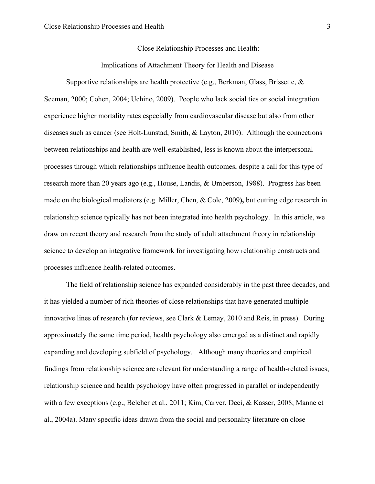Implications of Attachment Theory for Health and Disease

Supportive relationships are health protective (e.g., Berkman, Glass, Brissette,  $\&$ Seeman, 2000; Cohen, 2004; Uchino, 2009). People who lack social ties or social integration experience higher mortality rates especially from cardiovascular disease but also from other diseases such as cancer (see Holt-Lunstad, Smith, & Layton, 2010). Although the connections between relationships and health are well-established, less is known about the interpersonal processes through which relationships influence health outcomes, despite a call for this type of research more than 20 years ago (e.g., House, Landis, & Umberson, 1988). Progress has been made on the biological mediators (e.g. Miller, Chen, & Cole, 2009**),** but cutting edge research in relationship science typically has not been integrated into health psychology. In this article, we draw on recent theory and research from the study of adult attachment theory in relationship science to develop an integrative framework for investigating how relationship constructs and processes influence health-related outcomes.

The field of relationship science has expanded considerably in the past three decades, and it has yielded a number of rich theories of close relationships that have generated multiple innovative lines of research (for reviews, see Clark & Lemay, 2010 and Reis, in press). During approximately the same time period, health psychology also emerged as a distinct and rapidly expanding and developing subfield of psychology. Although many theories and empirical findings from relationship science are relevant for understanding a range of health-related issues, relationship science and health psychology have often progressed in parallel or independently with a few exceptions (e.g., Belcher et al., 2011; Kim, Carver, Deci, & Kasser, 2008; Manne et al., 2004a). Many specific ideas drawn from the social and personality literature on close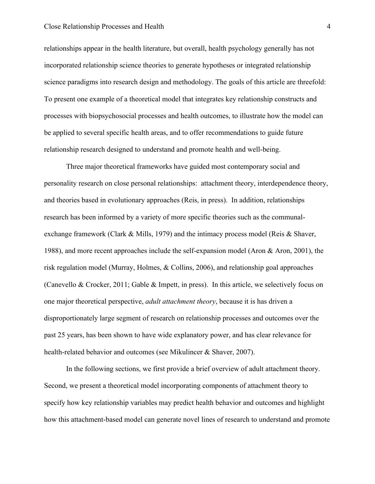relationships appear in the health literature, but overall, health psychology generally has not incorporated relationship science theories to generate hypotheses or integrated relationship science paradigms into research design and methodology. The goals of this article are threefold: To present one example of a theoretical model that integrates key relationship constructs and processes with biopsychosocial processes and health outcomes, to illustrate how the model can be applied to several specific health areas, and to offer recommendations to guide future relationship research designed to understand and promote health and well-being.

Three major theoretical frameworks have guided most contemporary social and personality research on close personal relationships: attachment theory, interdependence theory, and theories based in evolutionary approaches (Reis, in press). In addition, relationships research has been informed by a variety of more specific theories such as the communalexchange framework (Clark & Mills, 1979) and the intimacy process model (Reis & Shaver, 1988), and more recent approaches include the self-expansion model (Aron & Aron, 2001), the risk regulation model (Murray, Holmes, & Collins, 2006), and relationship goal approaches (Canevello & Crocker, 2011; Gable & Impett, in press). In this article, we selectively focus on one major theoretical perspective, *adult attachment theory*, because it is has driven a disproportionately large segment of research on relationship processes and outcomes over the past 25 years, has been shown to have wide explanatory power, and has clear relevance for health-related behavior and outcomes (see Mikulincer & Shaver, 2007).

In the following sections, we first provide a brief overview of adult attachment theory. Second, we present a theoretical model incorporating components of attachment theory to specify how key relationship variables may predict health behavior and outcomes and highlight how this attachment-based model can generate novel lines of research to understand and promote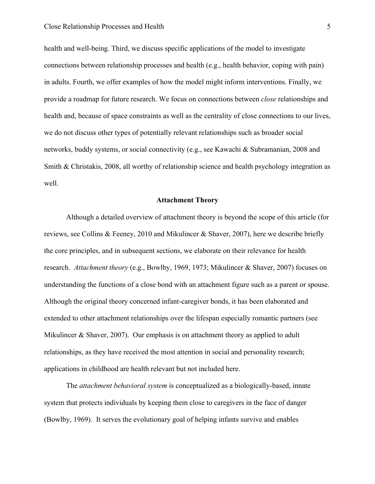health and well-being. Third, we discuss specific applications of the model to investigate connections between relationship processes and health (e.g., health behavior, coping with pain) in adults. Fourth, we offer examples of how the model might inform interventions. Finally, we provide a roadmap for future research. We focus on connections between *close* relationships and health and, because of space constraints as well as the centrality of close connections to our lives, we do not discuss other types of potentially relevant relationships such as broader social networks, buddy systems, or social connectivity (e.g., see Kawachi & Subramanian, 2008 and Smith & Christakis, 2008, all worthy of relationship science and health psychology integration as well.

## **Attachment Theory**

Although a detailed overview of attachment theory is beyond the scope of this article (for reviews, see Collins & Feeney, 2010 and Mikulincer & Shaver, 2007), here we describe briefly the core principles, and in subsequent sections, we elaborate on their relevance for health research. *Attachment theory* (e.g., Bowlby, 1969, 1973; Mikulincer & Shaver, 2007) focuses on understanding the functions of a close bond with an attachment figure such as a parent or spouse. Although the original theory concerned infant-caregiver bonds, it has been elaborated and extended to other attachment relationships over the lifespan especially romantic partners (see Mikulincer & Shaver, 2007). Our emphasis is on attachment theory as applied to adult relationships, as they have received the most attention in social and personality research; applications in childhood are health relevant but not included here.

The *attachment behavioral system* is conceptualized as a biologically-based, innate system that protects individuals by keeping them close to caregivers in the face of danger (Bowlby, 1969). It serves the evolutionary goal of helping infants survive and enables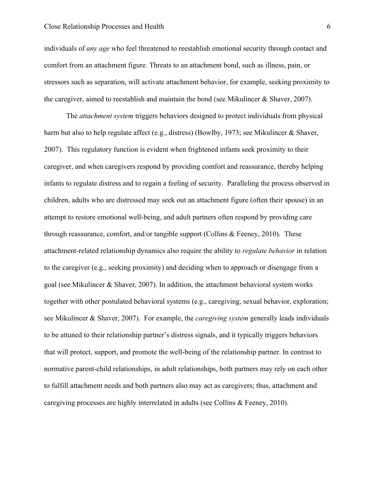individuals of *any age* who feel threatened to reestablish emotional security through contact and comfort from an attachment figure. Threats to an attachment bond, such as illness, pain, or stressors such as separation, will activate attachment behavior, for example, seeking proximity to the caregiver, aimed to reestablish and maintain the bond (see Mikulincer  $\&$  Shaver, 2007).

The *attachment system* triggers behaviors designed to protect individuals from physical harm but also to help regulate affect (e.g., distress) (Bowlby, 1973; see Mikulincer & Shaver, 2007). This regulatory function is evident when frightened infants seek proximity to their caregiver, and when caregivers respond by providing comfort and reassurance, thereby helping infants to regulate distress and to regain a feeling of security. Paralleling the process observed in children, adults who are distressed may seek out an attachment figure (often their spouse) in an attempt to restore emotional well-being, and adult partners often respond by providing care through reassurance, comfort, and/or tangible support (Collins & Feeney, 2010). These attachment-related relationship dynamics also require the ability to *regulate behavior* in relation to the caregiver (e.g., seeking proximity) and deciding when to approach or disengage from a goal (see Mikulincer & Shaver, 2007). In addition, the attachment behavioral system works together with other postulated behavioral systems (e.g., caregiving, sexual behavior, exploration; see Mikulincer & Shaver, 2007). For example, the *caregiving system* generally leads individuals to be attuned to their relationship partner's distress signals, and it typically triggers behaviors that will protect, support, and promote the well-being of the relationship partner. In contrast to normative parent-child relationships, in adult relationships, both partners may rely on each other to fulfill attachment needs and both partners also may act as caregivers; thus, attachment and caregiving processes are highly interrelated in adults (see Collins & Feeney, 2010).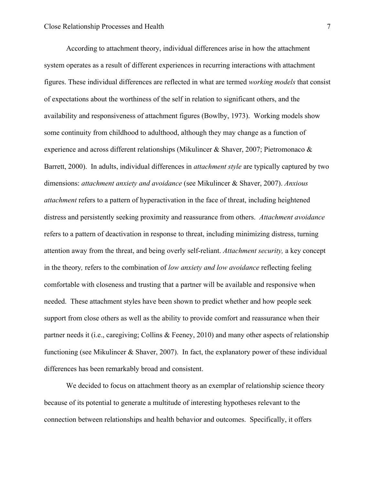According to attachment theory, individual differences arise in how the attachment system operates as a result of different experiences in recurring interactions with attachment figures. These individual differences are reflected in what are termed *working models* that consist of expectations about the worthiness of the self in relation to significant others, and the availability and responsiveness of attachment figures (Bowlby, 1973). Working models show some continuity from childhood to adulthood, although they may change as a function of experience and across different relationships (Mikulincer & Shaver, 2007; Pietromonaco & Barrett, 2000). In adults, individual differences in *attachment style* are typically captured by two dimensions: *attachment anxiety and avoidance* (see Mikulincer & Shaver, 2007). *Anxious attachment* refers to a pattern of hyperactivation in the face of threat, including heightened distress and persistently seeking proximity and reassurance from others. *Attachment avoidance* refers to a pattern of deactivation in response to threat, including minimizing distress, turning attention away from the threat, and being overly self-reliant. *Attachment security,* a key concept in the theory*,* refers to the combination of *low anxiety and low avoidance* reflecting feeling comfortable with closeness and trusting that a partner will be available and responsive when needed. These attachment styles have been shown to predict whether and how people seek support from close others as well as the ability to provide comfort and reassurance when their partner needs it (i.e., caregiving; Collins & Feeney, 2010) and many other aspects of relationship functioning (see Mikulincer & Shaver, 2007). In fact, the explanatory power of these individual differences has been remarkably broad and consistent.

We decided to focus on attachment theory as an exemplar of relationship science theory because of its potential to generate a multitude of interesting hypotheses relevant to the connection between relationships and health behavior and outcomes. Specifically, it offers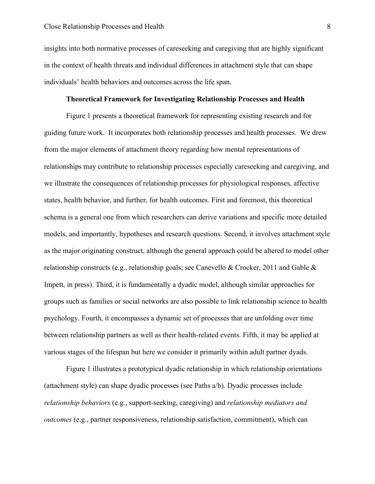insights into both normative processes of careseeking and caregiving that are highly significant in the context of health threats and individual differences in attachment style that can shape individuals' health behaviors and outcomes across the life span.

## **Theoretical Framework for Investigating Relationship Processes and Health**

Figure 1 presents a theoretical framework for representing existing research and for guiding future work. It incorporates both relationship processes and health processes. We drew from the major elements of attachment theory regarding how mental representations of relationships may contribute to relationship processes especially careseeking and caregiving, and we illustrate the consequences of relationship processes for physiological responses, affective states, health behavior, and further, for health outcomes. First and foremost, this theoretical schema is a general one from which researchers can derive variations and specific more detailed models, and importantly, hypotheses and research questions. Second, it involves attachment style as the major originating construct, although the general approach could be altered to model other relationship constructs (e.g., relationship goals; see Canevello & Crocker, 2011 and Gable & Impett, in press). Third, it is fundamentally a dyadic model, although similar approaches for groups such as families or social networks are also possible to link relationship science to health psychology. Fourth, it encompasses a dynamic set of processes that are unfolding over time between relationship partners as well as their health-related events. Fifth, it may be applied at various stages of the lifespan but here we consider it primarily within adult partner dyads.

Figure 1 illustrates a prototypical dyadic relationship in which relationship orientations (attachment style) can shape dyadic processes (see Paths a/b). Dyadic processes include *relationship behaviors* (e.g., support-seeking, caregiving) and *relationship mediators and outcomes* (e.g., partner responsiveness, relationship satisfaction, commitment), which can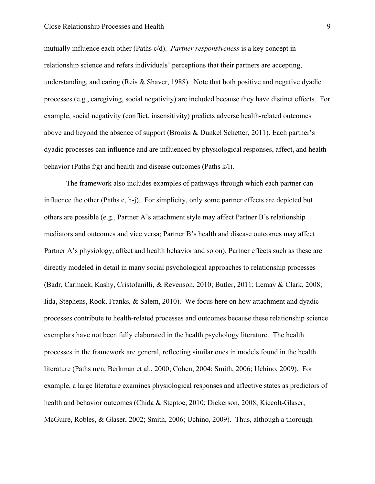mutually influence each other (Paths c/d). *Partner responsiveness* is a key concept in relationship science and refers individuals' perceptions that their partners are accepting, understanding, and caring (Reis & Shaver, 1988). Note that both positive and negative dyadic processes (e.g., caregiving, social negativity) are included because they have distinct effects. For example, social negativity (conflict, insensitivity) predicts adverse health-related outcomes above and beyond the absence of support (Brooks & Dunkel Schetter, 2011). Each partner's dyadic processes can influence and are influenced by physiological responses, affect, and health behavior (Paths f/g) and health and disease outcomes (Paths k/l).

The framework also includes examples of pathways through which each partner can influence the other (Paths e, h-j). For simplicity, only some partner effects are depicted but others are possible (e.g., Partner A's attachment style may affect Partner B's relationship mediators and outcomes and vice versa; Partner B's health and disease outcomes may affect Partner A's physiology, affect and health behavior and so on). Partner effects such as these are directly modeled in detail in many social psychological approaches to relationship processes (Badr, Carmack, Kashy, Cristofanilli, & Revenson, 2010; Butler, 2011; Lemay & Clark, 2008; Iida, Stephens, Rook, Franks, & Salem, 2010). We focus here on how attachment and dyadic processes contribute to health-related processes and outcomes because these relationship science exemplars have not been fully elaborated in the health psychology literature. The health processes in the framework are general, reflecting similar ones in models found in the health literature (Paths m/n, Berkman et al., 2000; Cohen, 2004; Smith, 2006; Uchino, 2009). For example, a large literature examines physiological responses and affective states as predictors of health and behavior outcomes (Chida & Steptoe, 2010; Dickerson, 2008; Kiecolt-Glaser, McGuire, Robles, & Glaser, 2002; Smith, 2006; Uchino, 2009). Thus, although a thorough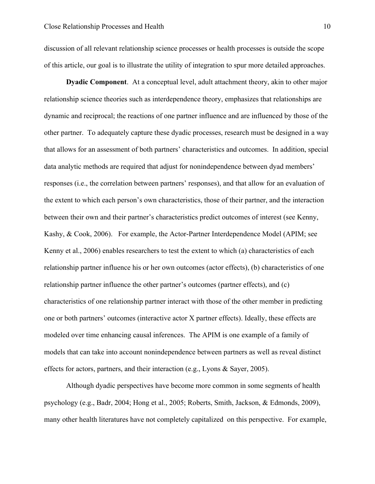discussion of all relevant relationship science processes or health processes is outside the scope of this article, our goal is to illustrate the utility of integration to spur more detailed approaches.

**Dyadic Component**. At a conceptual level, adult attachment theory, akin to other major relationship science theories such as interdependence theory, emphasizes that relationships are dynamic and reciprocal; the reactions of one partner influence and are influenced by those of the other partner. To adequately capture these dyadic processes, research must be designed in a way that allows for an assessment of both partners' characteristics and outcomes. In addition, special data analytic methods are required that adjust for nonindependence between dyad members' responses (i.e., the correlation between partners' responses), and that allow for an evaluation of the extent to which each person's own characteristics, those of their partner, and the interaction between their own and their partner's characteristics predict outcomes of interest (see Kenny, Kashy, & Cook, 2006). For example, the Actor-Partner Interdependence Model (APIM; see Kenny et al., 2006) enables researchers to test the extent to which (a) characteristics of each relationship partner influence his or her own outcomes (actor effects), (b) characteristics of one relationship partner influence the other partner's outcomes (partner effects), and (c) characteristics of one relationship partner interact with those of the other member in predicting one or both partners' outcomes (interactive actor X partner effects). Ideally, these effects are modeled over time enhancing causal inferences. The APIM is one example of a family of models that can take into account nonindependence between partners as well as reveal distinct effects for actors, partners, and their interaction (e.g., Lyons & Sayer, 2005).

Although dyadic perspectives have become more common in some segments of health psychology (e.g., Badr, 2004; Hong et al., 2005; Roberts, Smith, Jackson, & Edmonds, 2009), many other health literatures have not completely capitalized on this perspective. For example,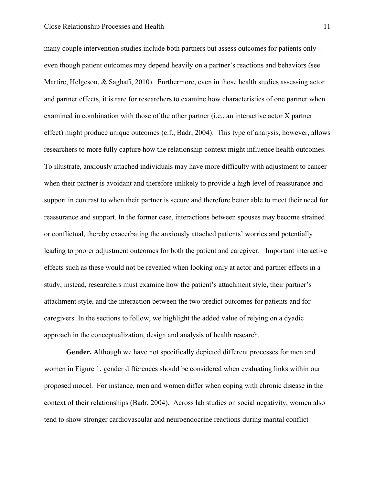many couple intervention studies include both partners but assess outcomes for patients only - even though patient outcomes may depend heavily on a partner's reactions and behaviors (see Martire, Helgeson, & Saghafi, 2010). Furthermore, even in those health studies assessing actor and partner effects, it is rare for researchers to examine how characteristics of one partner when examined in combination with those of the other partner (i.e., an interactive actor X partner effect) might produce unique outcomes (c.f., Badr, 2004). This type of analysis, however, allows researchers to more fully capture how the relationship context might influence health outcomes. To illustrate, anxiously attached individuals may have more difficulty with adjustment to cancer when their partner is avoidant and therefore unlikely to provide a high level of reassurance and support in contrast to when their partner is secure and therefore better able to meet their need for reassurance and support. In the former case, interactions between spouses may become strained or conflictual, thereby exacerbating the anxiously attached patients' worries and potentially leading to poorer adjustment outcomes for both the patient and caregiver. Important interactive effects such as these would not be revealed when looking only at actor and partner effects in a study; instead, researchers must examine how the patient's attachment style, their partner's attachment style, and the interaction between the two predict outcomes for patients and for caregivers. In the sections to follow, we highlight the added value of relying on a dyadic approach in the conceptualization, design and analysis of health research.

**Gender.** Although we have not specifically depicted different processes for men and women in Figure 1, gender differences should be considered when evaluating links within our proposed model. For instance, men and women differ when coping with chronic disease in the context of their relationships (Badr, 2004). Across lab studies on social negativity, women also tend to show stronger cardiovascular and neuroendocrine reactions during marital conflict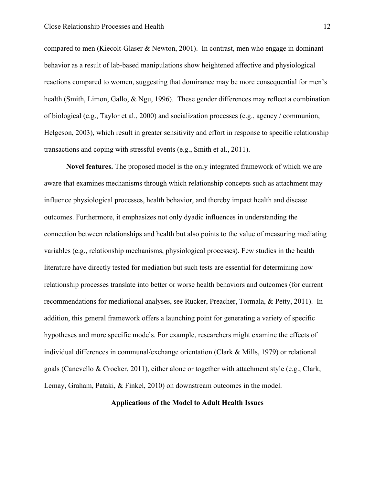compared to men (Kiecolt-Glaser & Newton, 2001). In contrast, men who engage in dominant behavior as a result of lab-based manipulations show heightened affective and physiological reactions compared to women, suggesting that dominance may be more consequential for men's health (Smith, Limon, Gallo, & Ngu, 1996). These gender differences may reflect a combination of biological (e.g., Taylor et al., 2000) and socialization processes (e.g., agency / communion, Helgeson, 2003), which result in greater sensitivity and effort in response to specific relationship transactions and coping with stressful events (e.g., Smith et al., 2011).

**Novel features.** The proposed model is the only integrated framework of which we are aware that examines mechanisms through which relationship concepts such as attachment may influence physiological processes, health behavior, and thereby impact health and disease outcomes. Furthermore, it emphasizes not only dyadic influences in understanding the connection between relationships and health but also points to the value of measuring mediating variables (e.g., relationship mechanisms, physiological processes). Few studies in the health literature have directly tested for mediation but such tests are essential for determining how relationship processes translate into better or worse health behaviors and outcomes (for current recommendations for mediational analyses, see Rucker, Preacher, Tormala, & Petty, 2011). In addition, this general framework offers a launching point for generating a variety of specific hypotheses and more specific models. For example, researchers might examine the effects of individual differences in communal/exchange orientation (Clark & Mills, 1979) or relational goals (Canevello & Crocker, 2011), either alone or together with attachment style (e.g., Clark, Lemay, Graham, Pataki, & Finkel, 2010) on downstream outcomes in the model.

## **Applications of the Model to Adult Health Issues**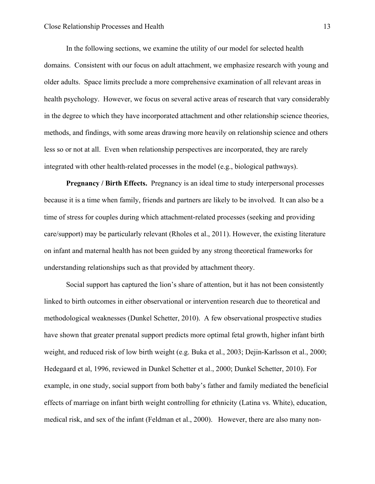In the following sections, we examine the utility of our model for selected health domains. Consistent with our focus on adult attachment, we emphasize research with young and older adults. Space limits preclude a more comprehensive examination of all relevant areas in health psychology. However, we focus on several active areas of research that vary considerably in the degree to which they have incorporated attachment and other relationship science theories, methods, and findings, with some areas drawing more heavily on relationship science and others less so or not at all. Even when relationship perspectives are incorporated, they are rarely integrated with other health-related processes in the model (e.g., biological pathways).

**Pregnancy / Birth Effects.** Pregnancy is an ideal time to study interpersonal processes because it is a time when family, friends and partners are likely to be involved. It can also be a time of stress for couples during which attachment-related processes (seeking and providing care/support) may be particularly relevant (Rholes et al., 2011). However, the existing literature on infant and maternal health has not been guided by any strong theoretical frameworks for understanding relationships such as that provided by attachment theory.

Social support has captured the lion's share of attention, but it has not been consistently linked to birth outcomes in either observational or intervention research due to theoretical and methodological weaknesses (Dunkel Schetter, 2010). A few observational prospective studies have shown that greater prenatal support predicts more optimal fetal growth, higher infant birth weight, and reduced risk of low birth weight (e.g. Buka et al., 2003; Dejin-Karlsson et al., 2000; Hedegaard et al, 1996, reviewed in Dunkel Schetter et al., 2000; Dunkel Schetter, 2010). For example, in one study, social support from both baby's father and family mediated the beneficial effects of marriage on infant birth weight controlling for ethnicity (Latina vs. White), education, medical risk, and sex of the infant (Feldman et al., 2000). However, there are also many non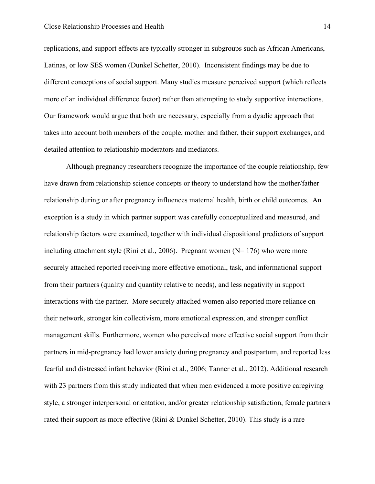replications, and support effects are typically stronger in subgroups such as African Americans, Latinas, or low SES women (Dunkel Schetter, 2010). Inconsistent findings may be due to different conceptions of social support. Many studies measure perceived support (which reflects more of an individual difference factor) rather than attempting to study supportive interactions. Our framework would argue that both are necessary, especially from a dyadic approach that takes into account both members of the couple, mother and father, their support exchanges, and detailed attention to relationship moderators and mediators.

Although pregnancy researchers recognize the importance of the couple relationship, few have drawn from relationship science concepts or theory to understand how the mother/father relationship during or after pregnancy influences maternal health, birth or child outcomes. An exception is a study in which partner support was carefully conceptualized and measured, and relationship factors were examined, together with individual dispositional predictors of support including attachment style (Rini et al., 2006). Pregnant women ( $N=176$ ) who were more securely attached reported receiving more effective emotional, task, and informational support from their partners (quality and quantity relative to needs), and less negativity in support interactions with the partner. More securely attached women also reported more reliance on their network, stronger kin collectivism, more emotional expression, and stronger conflict management skills. Furthermore, women who perceived more effective social support from their partners in mid-pregnancy had lower anxiety during pregnancy and postpartum, and reported less fearful and distressed infant behavior (Rini et al., 2006; Tanner et al., 2012). Additional research with 23 partners from this study indicated that when men evidenced a more positive caregiving style, a stronger interpersonal orientation, and/or greater relationship satisfaction, female partners rated their support as more effective (Rini & Dunkel Schetter, 2010). This study is a rare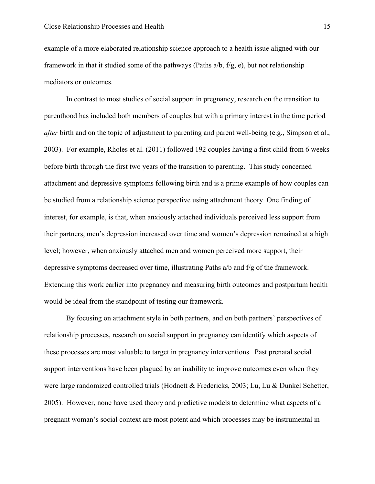example of a more elaborated relationship science approach to a health issue aligned with our framework in that it studied some of the pathways (Paths a/b, f/g, e), but not relationship mediators or outcomes.

In contrast to most studies of social support in pregnancy, research on the transition to parenthood has included both members of couples but with a primary interest in the time period *after* birth and on the topic of adjustment to parenting and parent well-being (e.g., Simpson et al., 2003). For example, Rholes et al. (2011) followed 192 couples having a first child from 6 weeks before birth through the first two years of the transition to parenting. This study concerned attachment and depressive symptoms following birth and is a prime example of how couples can be studied from a relationship science perspective using attachment theory. One finding of interest, for example, is that, when anxiously attached individuals perceived less support from their partners, men's depression increased over time and women's depression remained at a high level; however, when anxiously attached men and women perceived more support, their depressive symptoms decreased over time, illustrating Paths a/b and f/g of the framework. Extending this work earlier into pregnancy and measuring birth outcomes and postpartum health would be ideal from the standpoint of testing our framework.

By focusing on attachment style in both partners, and on both partners' perspectives of relationship processes, research on social support in pregnancy can identify which aspects of these processes are most valuable to target in pregnancy interventions. Past prenatal social support interventions have been plagued by an inability to improve outcomes even when they were large randomized controlled trials (Hodnett & Fredericks, 2003; Lu, Lu & Dunkel Schetter, 2005). However, none have used theory and predictive models to determine what aspects of a pregnant woman's social context are most potent and which processes may be instrumental in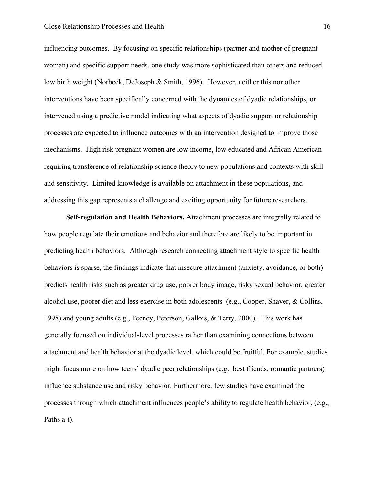influencing outcomes. By focusing on specific relationships (partner and mother of pregnant woman) and specific support needs, one study was more sophisticated than others and reduced low birth weight (Norbeck, DeJoseph & Smith, 1996). However, neither this nor other interventions have been specifically concerned with the dynamics of dyadic relationships, or intervened using a predictive model indicating what aspects of dyadic support or relationship processes are expected to influence outcomes with an intervention designed to improve those mechanisms. High risk pregnant women are low income, low educated and African American requiring transference of relationship science theory to new populations and contexts with skill and sensitivity. Limited knowledge is available on attachment in these populations, and addressing this gap represents a challenge and exciting opportunity for future researchers.

**Self-regulation and Health Behaviors.** Attachment processes are integrally related to how people regulate their emotions and behavior and therefore are likely to be important in predicting health behaviors. Although research connecting attachment style to specific health behaviors is sparse, the findings indicate that insecure attachment (anxiety, avoidance, or both) predicts health risks such as greater drug use, poorer body image, risky sexual behavior, greater alcohol use, poorer diet and less exercise in both adolescents (e.g., Cooper, Shaver, & Collins, 1998) and young adults (e.g., Feeney, Peterson, Gallois, & Terry, 2000). This work has generally focused on individual-level processes rather than examining connections between attachment and health behavior at the dyadic level, which could be fruitful. For example, studies might focus more on how teens' dyadic peer relationships (e.g., best friends, romantic partners) influence substance use and risky behavior. Furthermore, few studies have examined the processes through which attachment influences people's ability to regulate health behavior, (e.g., Paths a-i).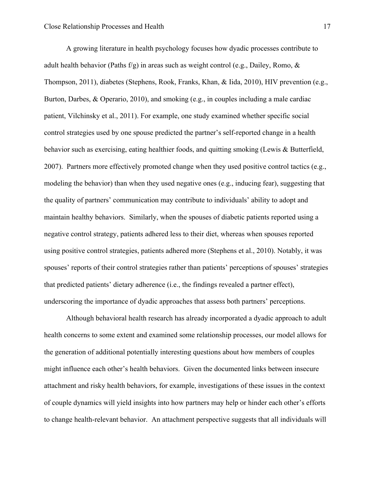A growing literature in health psychology focuses how dyadic processes contribute to adult health behavior (Paths f/g) in areas such as weight control (e.g., Dailey, Romo,  $\&$ Thompson, 2011), diabetes (Stephens, Rook, Franks, Khan, & Iida, 2010), HIV prevention (e.g., Burton, Darbes, & Operario, 2010), and smoking (e.g., in couples including a male cardiac patient, Vilchinsky et al., 2011). For example, one study examined whether specific social control strategies used by one spouse predicted the partner's self-reported change in a health behavior such as exercising, eating healthier foods, and quitting smoking (Lewis & Butterfield, 2007). Partners more effectively promoted change when they used positive control tactics (e.g., modeling the behavior) than when they used negative ones (e.g., inducing fear), suggesting that the quality of partners' communication may contribute to individuals' ability to adopt and maintain healthy behaviors. Similarly, when the spouses of diabetic patients reported using a negative control strategy, patients adhered less to their diet, whereas when spouses reported using positive control strategies, patients adhered more (Stephens et al., 2010). Notably, it was spouses' reports of their control strategies rather than patients' perceptions of spouses' strategies that predicted patients' dietary adherence (i.e., the findings revealed a partner effect), underscoring the importance of dyadic approaches that assess both partners' perceptions.

Although behavioral health research has already incorporated a dyadic approach to adult health concerns to some extent and examined some relationship processes, our model allows for the generation of additional potentially interesting questions about how members of couples might influence each other's health behaviors. Given the documented links between insecure attachment and risky health behaviors, for example, investigations of these issues in the context of couple dynamics will yield insights into how partners may help or hinder each other's efforts to change health-relevant behavior. An attachment perspective suggests that all individuals will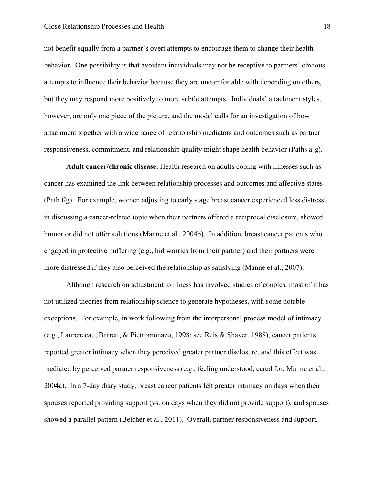not benefit equally from a partner's overt attempts to encourage them to change their health behavior. One possibility is that avoidant individuals may not be receptive to partners' obvious attempts to influence their behavior because they are uncomfortable with depending on others, but they may respond more positively to more subtle attempts. Individuals' attachment styles, however, are only one piece of the picture, and the model calls for an investigation of how attachment together with a wide range of relationship mediators and outcomes such as partner responsiveness, commitment, and relationship quality might shape health behavior (Paths a-g).

**Adult cancer/chronic disease.** Health research on adults coping with illnesses such as cancer has examined the link between relationship processes and outcomes and affective states (Path f/g). For example, women adjusting to early stage breast cancer experienced less distress in discussing a cancer-related topic when their partners offered a reciprocal disclosure, showed humor or did not offer solutions (Manne et al., 2004b). In addition, breast cancer patients who engaged in protective buffering (e.g., hid worries from their partner) and their partners were more distressed if they also perceived the relationship as satisfying (Manne et al., 2007).

Although research on adjustment to illness has involved studies of couples, most of it has not utilized theories from relationship science to generate hypotheses, with some notable exceptions. For example, in work following from the interpersonal process model of intimacy (e.g., Laurenceau, Barrett, & Pietromonaco, 1998; see Reis & Shaver, 1988), cancer patients reported greater intimacy when they perceived greater partner disclosure, and this effect was mediated by perceived partner responsiveness (e.g., feeling understood, cared for; Manne et al., 2004a). In a 7-day diary study, breast cancer patients felt greater intimacy on days when their spouses reported providing support (vs. on days when they did not provide support), and spouses showed a parallel pattern (Belcher et al., 2011). Overall, partner responsiveness and support,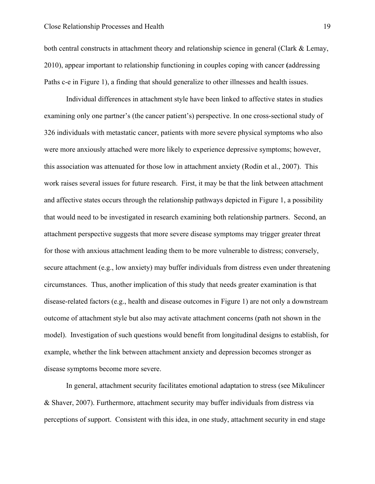both central constructs in attachment theory and relationship science in general (Clark & Lemay, 2010), appear important to relationship functioning in couples coping with cancer **(**addressing Paths c-e in Figure 1), a finding that should generalize to other illnesses and health issues.

Individual differences in attachment style have been linked to affective states in studies examining only one partner's (the cancer patient's) perspective. In one cross-sectional study of 326 individuals with metastatic cancer, patients with more severe physical symptoms who also were more anxiously attached were more likely to experience depressive symptoms; however, this association was attenuated for those low in attachment anxiety (Rodin et al., 2007). This work raises several issues for future research. First, it may be that the link between attachment and affective states occurs through the relationship pathways depicted in Figure 1, a possibility that would need to be investigated in research examining both relationship partners. Second, an attachment perspective suggests that more severe disease symptoms may trigger greater threat for those with anxious attachment leading them to be more vulnerable to distress; conversely, secure attachment (e.g., low anxiety) may buffer individuals from distress even under threatening circumstances. Thus, another implication of this study that needs greater examination is that disease-related factors (e.g., health and disease outcomes in Figure 1) are not only a downstream outcome of attachment style but also may activate attachment concerns (path not shown in the model). Investigation of such questions would benefit from longitudinal designs to establish, for example, whether the link between attachment anxiety and depression becomes stronger as disease symptoms become more severe.

In general, attachment security facilitates emotional adaptation to stress (see Mikulincer & Shaver, 2007). Furthermore, attachment security may buffer individuals from distress via perceptions of support. Consistent with this idea, in one study, attachment security in end stage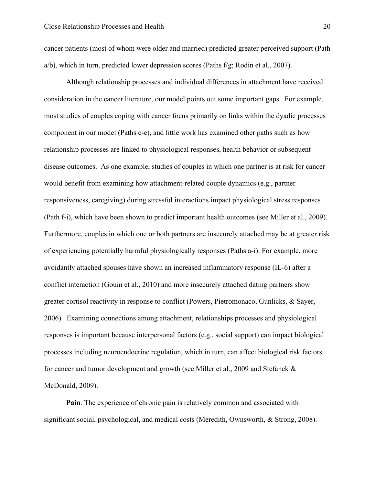cancer patients (most of whom were older and married) predicted greater perceived support (Path a/b), which in turn, predicted lower depression scores (Paths f/g; Rodin et al., 2007).

Although relationship processes and individual differences in attachment have received consideration in the cancer literature, our model points out some important gaps. For example, most studies of couples coping with cancer focus primarily on links within the dyadic processes component in our model (Paths c-e), and little work has examined other paths such as how relationship processes are linked to physiological responses, health behavior or subsequent disease outcomes. As one example, studies of couples in which one partner is at risk for cancer would benefit from examining how attachment-related couple dynamics (e.g., partner responsiveness, caregiving) during stressful interactions impact physiological stress responses (Path f-i), which have been shown to predict important health outcomes (see Miller et al., 2009). Furthermore, couples in which one or both partners are insecurely attached may be at greater risk of experiencing potentially harmful physiologically responses (Paths a-i). For example, more avoidantly attached spouses have shown an increased inflammatory response (IL-6) after a conflict interaction (Gouin et al., 2010) and more insecurely attached dating partners show greater cortisol reactivity in response to conflict (Powers, Pietromonaco, Gunlicks, & Sayer, 2006). Examining connections among attachment, relationships processes and physiological responses is important because interpersonal factors (e.g., social support) can impact biological processes including neuroendocrine regulation, which in turn, can affect biological risk factors for cancer and tumor development and growth (see Miller et al., 2009 and Stefanek & McDonald, 2009).

**Pain**. The experience of chronic pain is relatively common and associated with significant social, psychological, and medical costs (Meredith, Ownsworth, & Strong, 2008).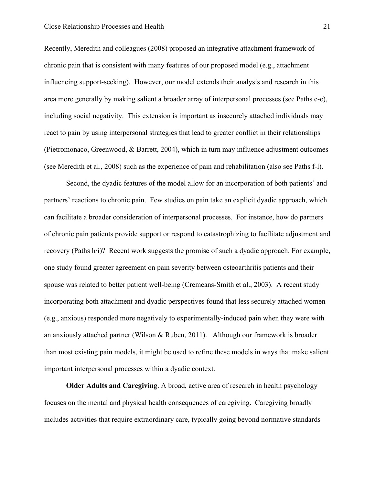Recently, Meredith and colleagues (2008) proposed an integrative attachment framework of chronic pain that is consistent with many features of our proposed model (e.g., attachment influencing support-seeking). However, our model extends their analysis and research in this area more generally by making salient a broader array of interpersonal processes (see Paths c-e), including social negativity. This extension is important as insecurely attached individuals may react to pain by using interpersonal strategies that lead to greater conflict in their relationships (Pietromonaco, Greenwood, & Barrett, 2004), which in turn may influence adjustment outcomes (see Meredith et al., 2008) such as the experience of pain and rehabilitation (also see Paths f-l).

Second, the dyadic features of the model allow for an incorporation of both patients' and partners' reactions to chronic pain. Few studies on pain take an explicit dyadic approach, which can facilitate a broader consideration of interpersonal processes. For instance, how do partners of chronic pain patients provide support or respond to catastrophizing to facilitate adjustment and recovery (Paths h/i)? Recent work suggests the promise of such a dyadic approach. For example, one study found greater agreement on pain severity between osteoarthritis patients and their spouse was related to better patient well-being (Cremeans-Smith et al., 2003). A recent study incorporating both attachment and dyadic perspectives found that less securely attached women (e.g., anxious) responded more negatively to experimentally-induced pain when they were with an anxiously attached partner (Wilson & Ruben, 2011). Although our framework is broader than most existing pain models, it might be used to refine these models in ways that make salient important interpersonal processes within a dyadic context.

**Older Adults and Caregiving**. A broad, active area of research in health psychology focuses on the mental and physical health consequences of caregiving. Caregiving broadly includes activities that require extraordinary care, typically going beyond normative standards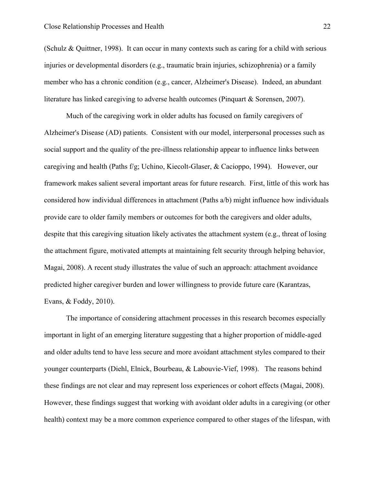(Schulz & Quittner, 1998). It can occur in many contexts such as caring for a child with serious injuries or developmental disorders (e.g., traumatic brain injuries, schizophrenia) or a family member who has a chronic condition (e.g., cancer, Alzheimer's Disease). Indeed, an abundant literature has linked caregiving to adverse health outcomes (Pinquart & Sorensen, 2007).

Much of the caregiving work in older adults has focused on family caregivers of Alzheimer's Disease (AD) patients. Consistent with our model, interpersonal processes such as social support and the quality of the pre-illness relationship appear to influence links between caregiving and health (Paths f/g; Uchino, Kiecolt-Glaser, & Cacioppo, 1994). However, our framework makes salient several important areas for future research. First, little of this work has considered how individual differences in attachment (Paths a/b) might influence how individuals provide care to older family members or outcomes for both the caregivers and older adults, despite that this caregiving situation likely activates the attachment system (e.g., threat of losing the attachment figure, motivated attempts at maintaining felt security through helping behavior, Magai, 2008). A recent study illustrates the value of such an approach: attachment avoidance predicted higher caregiver burden and lower willingness to provide future care (Karantzas, Evans, & Foddy, 2010).

The importance of considering attachment processes in this research becomes especially important in light of an emerging literature suggesting that a higher proportion of middle-aged and older adults tend to have less secure and more avoidant attachment styles compared to their younger counterparts (Diehl, Elnick, Bourbeau, & Labouvie-Vief, 1998). The reasons behind these findings are not clear and may represent loss experiences or cohort effects (Magai, 2008). However, these findings suggest that working with avoidant older adults in a caregiving (or other health) context may be a more common experience compared to other stages of the lifespan, with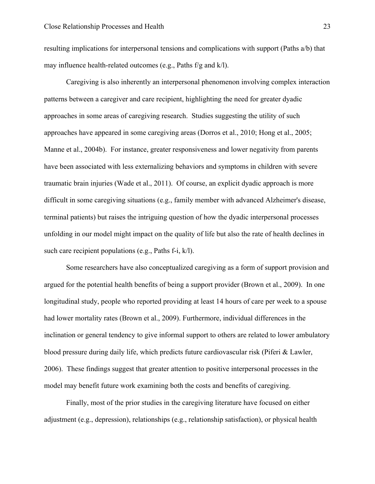resulting implications for interpersonal tensions and complications with support (Paths a/b) that may influence health-related outcomes (e.g., Paths f/g and k/l).

Caregiving is also inherently an interpersonal phenomenon involving complex interaction patterns between a caregiver and care recipient, highlighting the need for greater dyadic approaches in some areas of caregiving research. Studies suggesting the utility of such approaches have appeared in some caregiving areas (Dorros et al., 2010; Hong et al., 2005; Manne et al., 2004b). For instance, greater responsiveness and lower negativity from parents have been associated with less externalizing behaviors and symptoms in children with severe traumatic brain injuries (Wade et al., 2011). Of course, an explicit dyadic approach is more difficult in some caregiving situations (e.g., family member with advanced Alzheimer's disease, terminal patients) but raises the intriguing question of how the dyadic interpersonal processes unfolding in our model might impact on the quality of life but also the rate of health declines in such care recipient populations (e.g., Paths f-i, k/l).

Some researchers have also conceptualized caregiving as a form of support provision and argued for the potential health benefits of being a support provider (Brown et al., 2009). In one longitudinal study, people who reported providing at least 14 hours of care per week to a spouse had lower mortality rates (Brown et al., 2009). Furthermore, individual differences in the inclination or general tendency to give informal support to others are related to lower ambulatory blood pressure during daily life, which predicts future cardiovascular risk (Piferi & Lawler, 2006). These findings suggest that greater attention to positive interpersonal processes in the model may benefit future work examining both the costs and benefits of caregiving.

Finally, most of the prior studies in the caregiving literature have focused on either adjustment (e.g., depression), relationships (e.g., relationship satisfaction), or physical health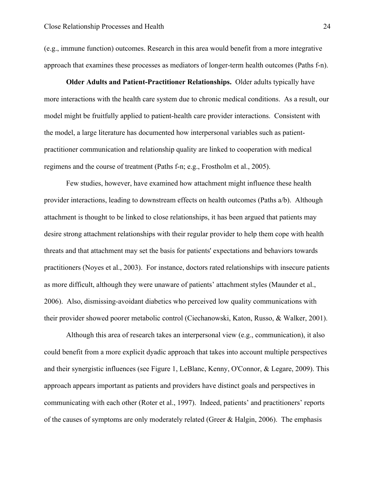(e.g., immune function) outcomes. Research in this area would benefit from a more integrative approach that examines these processes as mediators of longer-term health outcomes (Paths f-n).

**Older Adults and Patient-Practitioner Relationships.** Older adults typically have more interactions with the health care system due to chronic medical conditions. As a result, our model might be fruitfully applied to patient-health care provider interactions. Consistent with the model, a large literature has documented how interpersonal variables such as patientpractitioner communication and relationship quality are linked to cooperation with medical regimens and the course of treatment (Paths f-n; e.g., Frostholm et al., 2005).

Few studies, however, have examined how attachment might influence these health provider interactions, leading to downstream effects on health outcomes (Paths a/b). Although attachment is thought to be linked to close relationships, it has been argued that patients may desire strong attachment relationships with their regular provider to help them cope with health threats and that attachment may set the basis for patients' expectations and behaviors towards practitioners (Noyes et al., 2003). For instance, doctors rated relationships with insecure patients as more difficult, although they were unaware of patients' attachment styles (Maunder et al., 2006). Also, dismissing-avoidant diabetics who perceived low quality communications with their provider showed poorer metabolic control (Ciechanowski, Katon, Russo, & Walker, 2001).

Although this area of research takes an interpersonal view (e.g., communication), it also could benefit from a more explicit dyadic approach that takes into account multiple perspectives and their synergistic influences (see Figure 1, LeBlanc, Kenny, O'Connor, & Legare, 2009). This approach appears important as patients and providers have distinct goals and perspectives in communicating with each other (Roter et al., 1997). Indeed, patients' and practitioners' reports of the causes of symptoms are only moderately related (Greer & Halgin, 2006). The emphasis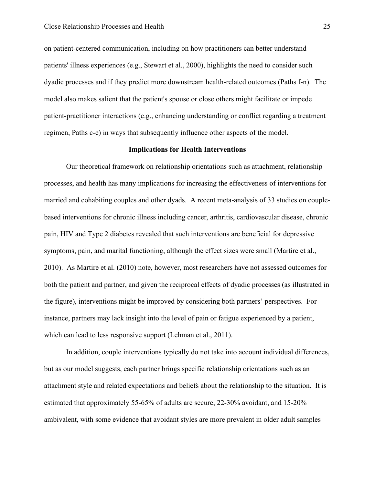on patient-centered communication, including on how practitioners can better understand patients' illness experiences (e.g., Stewart et al., 2000), highlights the need to consider such dyadic processes and if they predict more downstream health-related outcomes (Paths f-n). The model also makes salient that the patient's spouse or close others might facilitate or impede patient-practitioner interactions (e.g., enhancing understanding or conflict regarding a treatment regimen, Paths c-e) in ways that subsequently influence other aspects of the model.

## **Implications for Health Interventions**

Our theoretical framework on relationship orientations such as attachment, relationship processes, and health has many implications for increasing the effectiveness of interventions for married and cohabiting couples and other dyads. A recent meta-analysis of 33 studies on couplebased interventions for chronic illness including cancer, arthritis, cardiovascular disease, chronic pain, HIV and Type 2 diabetes revealed that such interventions are beneficial for depressive symptoms, pain, and marital functioning, although the effect sizes were small (Martire et al., 2010). As Martire et al. (2010) note, however, most researchers have not assessed outcomes for both the patient and partner, and given the reciprocal effects of dyadic processes (as illustrated in the figure), interventions might be improved by considering both partners' perspectives. For instance, partners may lack insight into the level of pain or fatigue experienced by a patient, which can lead to less responsive support (Lehman et al., 2011).

In addition, couple interventions typically do not take into account individual differences, but as our model suggests, each partner brings specific relationship orientations such as an attachment style and related expectations and beliefs about the relationship to the situation. It is estimated that approximately 55-65% of adults are secure, 22-30% avoidant, and 15-20% ambivalent, with some evidence that avoidant styles are more prevalent in older adult samples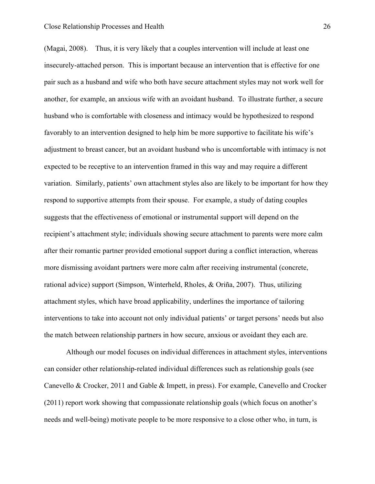(Magai, 2008). Thus, it is very likely that a couples intervention will include at least one insecurely-attached person. This is important because an intervention that is effective for one pair such as a husband and wife who both have secure attachment styles may not work well for another, for example, an anxious wife with an avoidant husband. To illustrate further, a secure husband who is comfortable with closeness and intimacy would be hypothesized to respond favorably to an intervention designed to help him be more supportive to facilitate his wife's adjustment to breast cancer, but an avoidant husband who is uncomfortable with intimacy is not expected to be receptive to an intervention framed in this way and may require a different variation. Similarly, patients' own attachment styles also are likely to be important for how they respond to supportive attempts from their spouse. For example, a study of dating couples suggests that the effectiveness of emotional or instrumental support will depend on the recipient's attachment style; individuals showing secure attachment to parents were more calm after their romantic partner provided emotional support during a conflict interaction, whereas more dismissing avoidant partners were more calm after receiving instrumental (concrete, rational advice) support (Simpson, Winterheld, Rholes, & Oriña, 2007). Thus, utilizing attachment styles, which have broad applicability, underlines the importance of tailoring interventions to take into account not only individual patients' or target persons' needs but also the match between relationship partners in how secure, anxious or avoidant they each are.

Although our model focuses on individual differences in attachment styles, interventions can consider other relationship-related individual differences such as relationship goals (see Canevello & Crocker, 2011 and Gable & Impett, in press). For example, Canevello and Crocker (2011) report work showing that compassionate relationship goals (which focus on another's needs and well-being) motivate people to be more responsive to a close other who, in turn, is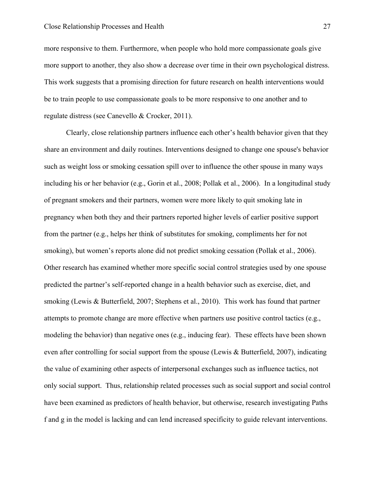more responsive to them. Furthermore, when people who hold more compassionate goals give more support to another, they also show a decrease over time in their own psychological distress. This work suggests that a promising direction for future research on health interventions would be to train people to use compassionate goals to be more responsive to one another and to regulate distress (see Canevello & Crocker, 2011).

Clearly, close relationship partners influence each other's health behavior given that they share an environment and daily routines. Interventions designed to change one spouse's behavior such as weight loss or smoking cessation spill over to influence the other spouse in many ways including his or her behavior (e.g., Gorin et al., 2008; Pollak et al., 2006). In a longitudinal study of pregnant smokers and their partners, women were more likely to quit smoking late in pregnancy when both they and their partners reported higher levels of earlier positive support from the partner (e.g., helps her think of substitutes for smoking, compliments her for not smoking), but women's reports alone did not predict smoking cessation (Pollak et al., 2006). Other research has examined whether more specific social control strategies used by one spouse predicted the partner's self-reported change in a health behavior such as exercise, diet, and smoking (Lewis & Butterfield, 2007; Stephens et al., 2010). This work has found that partner attempts to promote change are more effective when partners use positive control tactics (e.g., modeling the behavior) than negative ones (e.g., inducing fear). These effects have been shown even after controlling for social support from the spouse (Lewis & Butterfield, 2007), indicating the value of examining other aspects of interpersonal exchanges such as influence tactics, not only social support. Thus, relationship related processes such as social support and social control have been examined as predictors of health behavior, but otherwise, research investigating Paths f and g in the model is lacking and can lend increased specificity to guide relevant interventions.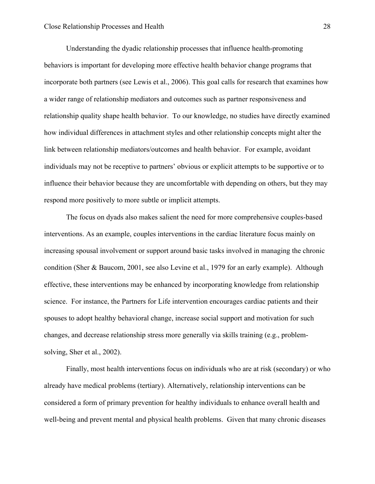Understanding the dyadic relationship processes that influence health-promoting behaviors is important for developing more effective health behavior change programs that incorporate both partners (see Lewis et al., 2006). This goal calls for research that examines how a wider range of relationship mediators and outcomes such as partner responsiveness and relationship quality shape health behavior. To our knowledge, no studies have directly examined how individual differences in attachment styles and other relationship concepts might alter the link between relationship mediators/outcomes and health behavior. For example, avoidant individuals may not be receptive to partners' obvious or explicit attempts to be supportive or to influence their behavior because they are uncomfortable with depending on others, but they may respond more positively to more subtle or implicit attempts.

The focus on dyads also makes salient the need for more comprehensive couples-based interventions. As an example, couples interventions in the cardiac literature focus mainly on increasing spousal involvement or support around basic tasks involved in managing the chronic condition (Sher & Baucom, 2001, see also Levine et al., 1979 for an early example). Although effective, these interventions may be enhanced by incorporating knowledge from relationship science. For instance, the Partners for Life intervention encourages cardiac patients and their spouses to adopt healthy behavioral change, increase social support and motivation for such changes, and decrease relationship stress more generally via skills training (e.g., problemsolving, Sher et al., 2002).

Finally, most health interventions focus on individuals who are at risk (secondary) or who already have medical problems (tertiary). Alternatively, relationship interventions can be considered a form of primary prevention for healthy individuals to enhance overall health and well-being and prevent mental and physical health problems. Given that many chronic diseases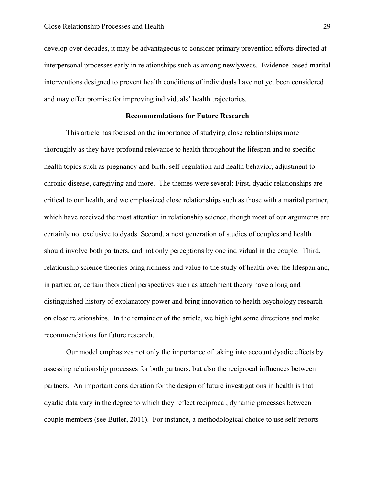develop over decades, it may be advantageous to consider primary prevention efforts directed at interpersonal processes early in relationships such as among newlyweds. Evidence-based marital interventions designed to prevent health conditions of individuals have not yet been considered and may offer promise for improving individuals' health trajectories.

## **Recommendations for Future Research**

This article has focused on the importance of studying close relationships more thoroughly as they have profound relevance to health throughout the lifespan and to specific health topics such as pregnancy and birth, self-regulation and health behavior, adjustment to chronic disease, caregiving and more. The themes were several: First, dyadic relationships are critical to our health, and we emphasized close relationships such as those with a marital partner, which have received the most attention in relationship science, though most of our arguments are certainly not exclusive to dyads. Second, a next generation of studies of couples and health should involve both partners, and not only perceptions by one individual in the couple. Third, relationship science theories bring richness and value to the study of health over the lifespan and, in particular, certain theoretical perspectives such as attachment theory have a long and distinguished history of explanatory power and bring innovation to health psychology research on close relationships. In the remainder of the article, we highlight some directions and make recommendations for future research.

Our model emphasizes not only the importance of taking into account dyadic effects by assessing relationship processes for both partners, but also the reciprocal influences between partners. An important consideration for the design of future investigations in health is that dyadic data vary in the degree to which they reflect reciprocal, dynamic processes between couple members (see Butler, 2011). For instance, a methodological choice to use self-reports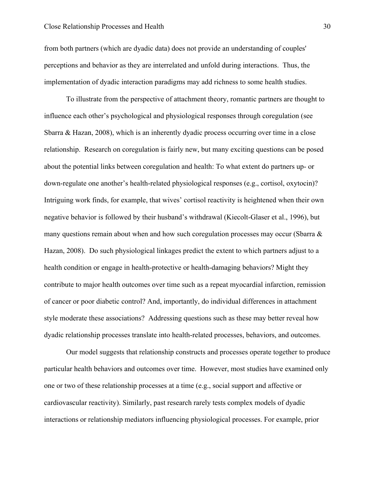from both partners (which are dyadic data) does not provide an understanding of couples' perceptions and behavior as they are interrelated and unfold during interactions. Thus, the implementation of dyadic interaction paradigms may add richness to some health studies.

To illustrate from the perspective of attachment theory, romantic partners are thought to influence each other's psychological and physiological responses through coregulation (see Sbarra & Hazan, 2008), which is an inherently dyadic process occurring over time in a close relationship. Research on coregulation is fairly new, but many exciting questions can be posed about the potential links between coregulation and health: To what extent do partners up- or down-regulate one another's health-related physiological responses (e.g., cortisol, oxytocin)? Intriguing work finds, for example, that wives' cortisol reactivity is heightened when their own negative behavior is followed by their husband's withdrawal (Kiecolt-Glaser et al., 1996), but many questions remain about when and how such coregulation processes may occur (Sbarra  $\&$ Hazan, 2008). Do such physiological linkages predict the extent to which partners adjust to a health condition or engage in health-protective or health-damaging behaviors? Might they contribute to major health outcomes over time such as a repeat myocardial infarction, remission of cancer or poor diabetic control? And, importantly, do individual differences in attachment style moderate these associations? Addressing questions such as these may better reveal how dyadic relationship processes translate into health-related processes, behaviors, and outcomes.

Our model suggests that relationship constructs and processes operate together to produce particular health behaviors and outcomes over time. However, most studies have examined only one or two of these relationship processes at a time (e.g., social support and affective or cardiovascular reactivity). Similarly, past research rarely tests complex models of dyadic interactions or relationship mediators influencing physiological processes. For example, prior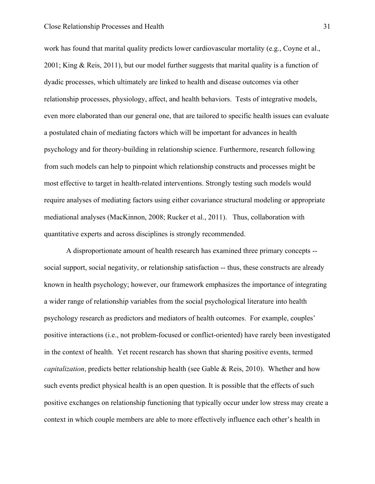work has found that marital quality predicts lower cardiovascular mortality (e.g., Coyne et al., 2001; King & Reis, 2011), but our model further suggests that marital quality is a function of dyadic processes, which ultimately are linked to health and disease outcomes via other relationship processes, physiology, affect, and health behaviors. Tests of integrative models, even more elaborated than our general one, that are tailored to specific health issues can evaluate a postulated chain of mediating factors which will be important for advances in health psychology and for theory-building in relationship science. Furthermore, research following from such models can help to pinpoint which relationship constructs and processes might be most effective to target in health-related interventions. Strongly testing such models would require analyses of mediating factors using either covariance structural modeling or appropriate mediational analyses (MacKinnon, 2008; Rucker et al., 2011). Thus, collaboration with quantitative experts and across disciplines is strongly recommended.

A disproportionate amount of health research has examined three primary concepts - social support, social negativity, or relationship satisfaction -- thus, these constructs are already known in health psychology; however, our framework emphasizes the importance of integrating a wider range of relationship variables from the social psychological literature into health psychology research as predictors and mediators of health outcomes. For example, couples' positive interactions (i.e., not problem-focused or conflict-oriented) have rarely been investigated in the context of health. Yet recent research has shown that sharing positive events, termed *capitalization*, predicts better relationship health (see Gable & Reis, 2010). Whether and how such events predict physical health is an open question. It is possible that the effects of such positive exchanges on relationship functioning that typically occur under low stress may create a context in which couple members are able to more effectively influence each other's health in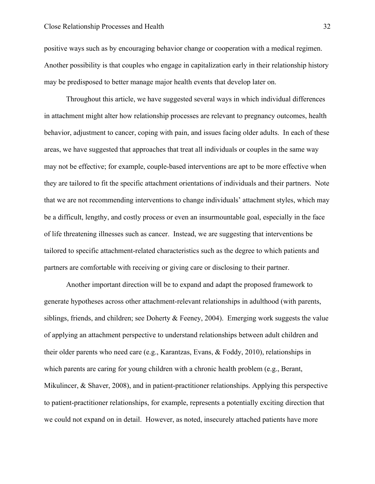positive ways such as by encouraging behavior change or cooperation with a medical regimen. Another possibility is that couples who engage in capitalization early in their relationship history may be predisposed to better manage major health events that develop later on.

Throughout this article, we have suggested several ways in which individual differences in attachment might alter how relationship processes are relevant to pregnancy outcomes, health behavior, adjustment to cancer, coping with pain, and issues facing older adults. In each of these areas, we have suggested that approaches that treat all individuals or couples in the same way may not be effective; for example, couple-based interventions are apt to be more effective when they are tailored to fit the specific attachment orientations of individuals and their partners. Note that we are not recommending interventions to change individuals' attachment styles, which may be a difficult, lengthy, and costly process or even an insurmountable goal, especially in the face of life threatening illnesses such as cancer. Instead, we are suggesting that interventions be tailored to specific attachment-related characteristics such as the degree to which patients and partners are comfortable with receiving or giving care or disclosing to their partner.

Another important direction will be to expand and adapt the proposed framework to generate hypotheses across other attachment-relevant relationships in adulthood (with parents, siblings, friends, and children; see Doherty  $\&$  Feeney, 2004). Emerging work suggests the value of applying an attachment perspective to understand relationships between adult children and their older parents who need care (e.g., Karantzas, Evans, & Foddy, 2010), relationships in which parents are caring for young children with a chronic health problem (e.g., Berant, Mikulincer, & Shaver, 2008), and in patient-practitioner relationships. Applying this perspective to patient-practitioner relationships, for example, represents a potentially exciting direction that we could not expand on in detail. However, as noted, insecurely attached patients have more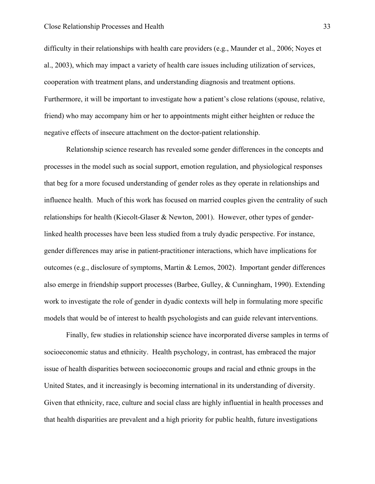difficulty in their relationships with health care providers (e.g., Maunder et al., 2006; Noyes et al., 2003), which may impact a variety of health care issues including utilization of services, cooperation with treatment plans, and understanding diagnosis and treatment options. Furthermore, it will be important to investigate how a patient's close relations (spouse, relative, friend) who may accompany him or her to appointments might either heighten or reduce the negative effects of insecure attachment on the doctor-patient relationship.

Relationship science research has revealed some gender differences in the concepts and processes in the model such as social support, emotion regulation, and physiological responses that beg for a more focused understanding of gender roles as they operate in relationships and influence health. Much of this work has focused on married couples given the centrality of such relationships for health (Kiecolt-Glaser & Newton, 2001). However, other types of genderlinked health processes have been less studied from a truly dyadic perspective. For instance, gender differences may arise in patient-practitioner interactions, which have implications for outcomes (e.g., disclosure of symptoms, Martin & Lemos, 2002). Important gender differences also emerge in friendship support processes (Barbee, Gulley, & Cunningham, 1990). Extending work to investigate the role of gender in dyadic contexts will help in formulating more specific models that would be of interest to health psychologists and can guide relevant interventions.

Finally, few studies in relationship science have incorporated diverse samples in terms of socioeconomic status and ethnicity. Health psychology, in contrast, has embraced the major issue of health disparities between socioeconomic groups and racial and ethnic groups in the United States, and it increasingly is becoming international in its understanding of diversity. Given that ethnicity, race, culture and social class are highly influential in health processes and that health disparities are prevalent and a high priority for public health, future investigations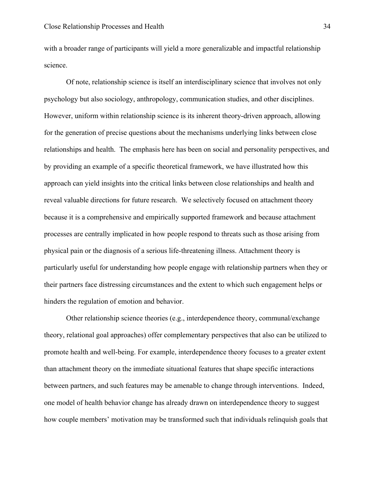with a broader range of participants will yield a more generalizable and impactful relationship science.

Of note, relationship science is itself an interdisciplinary science that involves not only psychology but also sociology, anthropology, communication studies, and other disciplines. However, uniform within relationship science is its inherent theory-driven approach, allowing for the generation of precise questions about the mechanisms underlying links between close relationships and health. The emphasis here has been on social and personality perspectives, and by providing an example of a specific theoretical framework, we have illustrated how this approach can yield insights into the critical links between close relationships and health and reveal valuable directions for future research. We selectively focused on attachment theory because it is a comprehensive and empirically supported framework and because attachment processes are centrally implicated in how people respond to threats such as those arising from physical pain or the diagnosis of a serious life-threatening illness. Attachment theory is particularly useful for understanding how people engage with relationship partners when they or their partners face distressing circumstances and the extent to which such engagement helps or hinders the regulation of emotion and behavior.

Other relationship science theories (e.g., interdependence theory, communal/exchange theory, relational goal approaches) offer complementary perspectives that also can be utilized to promote health and well-being. For example, interdependence theory focuses to a greater extent than attachment theory on the immediate situational features that shape specific interactions between partners, and such features may be amenable to change through interventions. Indeed, one model of health behavior change has already drawn on interdependence theory to suggest how couple members' motivation may be transformed such that individuals relinquish goals that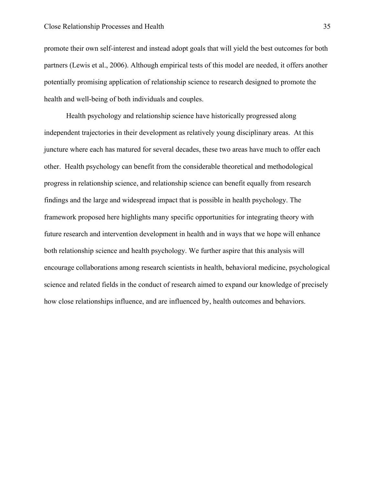promote their own self-interest and instead adopt goals that will yield the best outcomes for both partners (Lewis et al., 2006). Although empirical tests of this model are needed, it offers another potentially promising application of relationship science to research designed to promote the health and well-being of both individuals and couples.

Health psychology and relationship science have historically progressed along independent trajectories in their development as relatively young disciplinary areas. At this juncture where each has matured for several decades, these two areas have much to offer each other. Health psychology can benefit from the considerable theoretical and methodological progress in relationship science, and relationship science can benefit equally from research findings and the large and widespread impact that is possible in health psychology. The framework proposed here highlights many specific opportunities for integrating theory with future research and intervention development in health and in ways that we hope will enhance both relationship science and health psychology. We further aspire that this analysis will encourage collaborations among research scientists in health, behavioral medicine, psychological science and related fields in the conduct of research aimed to expand our knowledge of precisely how close relationships influence, and are influenced by, health outcomes and behaviors.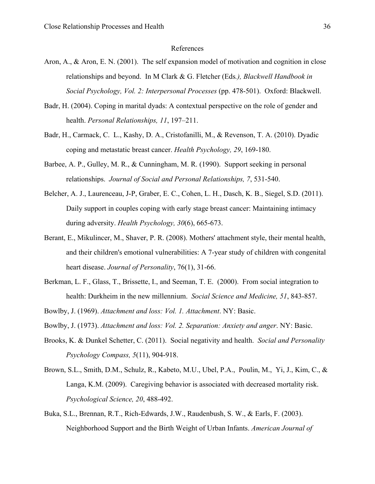## References

- Aron, A., & Aron, E. N. (2001). The self expansion model of motivation and cognition in close relationships and beyond. In M Clark & G. Fletcher (Eds*.), Blackwell Handbook in Social Psychology, Vol. 2: Interpersonal Processes* (pp. 478-501). Oxford: Blackwell.
- Badr, H. (2004). Coping in marital dyads: A contextual perspective on the role of gender and health. *Personal Relationships, 11*, 197–211.
- Badr, H., Carmack, C. L., Kashy, D. A., Cristofanilli, M., & Revenson, T. A. (2010). Dyadic coping and metastatic breast cancer. *Health Psychology, 29*, 169-180.
- Barbee, A. P., Gulley, M. R., & Cunningham, M. R. (1990). Support seeking in personal relationships. *Journal of Social and Personal Relationships, 7*, 531-540.
- Belcher, A. J., Laurenceau, J-P, Graber, E. C., Cohen, L. H., Dasch, K. B., Siegel, S.D. (2011). Daily support in couples coping with early stage breast cancer: Maintaining intimacy during adversity. *Health Psychology, 30*(6), 665-673.
- Berant, E., Mikulincer, M., Shaver, P. R. (2008). Mothers' attachment style, their mental health, and their children's emotional vulnerabilities: A 7-year study of children with congenital heart disease. *Journal of Personality*, 76(1), 31-66.
- Berkman, L. F., Glass, T., Brissette, I., and Seeman, T. E. (2000). From social integration to health: Durkheim in the new millennium. *Social Science and Medicine, 51*, 843-857.
- Bowlby, J. (1969). *Attachment and loss: Vol. 1. Attachment*. NY: Basic.
- Bowlby, J. (1973). *Attachment and loss: Vol. 2. Separation: Anxiety and anger*. NY: Basic.
- Brooks, K. & Dunkel Schetter, C. (2011). Social negativity and health. *Social and Personality Psychology Compass, 5*(11), 904-918.
- Brown, S.L., Smith, D.M., Schulz, R., Kabeto, M.U., Ubel, P.A., Poulin, M., Yi, J., Kim, C., & Langa, K.M. (2009). Caregiving behavior is associated with decreased mortality risk. *Psychological Science, 20*, 488-492.
- Buka, S.L., Brennan, R.T., Rich-Edwards, J.W., Raudenbush, S. W., & Earls, F. (2003). Neighborhood Support and the Birth Weight of Urban Infants. *American Journal of*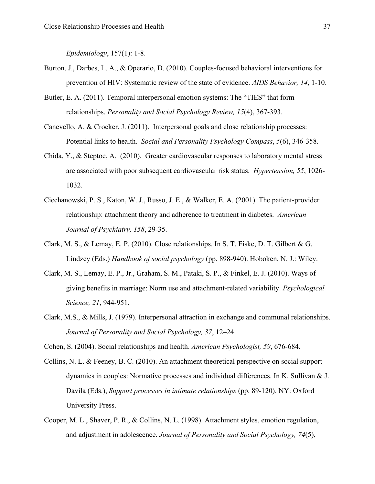*Epidemiology*, 157(1): 1-8.

- Burton, J., Darbes, L. A., & Operario, D. (2010). Couples-focused behavioral interventions for prevention of HIV: Systematic review of the state of evidence. *AIDS Behavior, 14*, 1-10.
- Butler, E. A. (2011). Temporal interpersonal emotion systems: The "TIES" that form relationships. *Personality and Social Psychology Review, 15*(4), 367-393.
- Canevello, A. & Crocker, J. (2011). Interpersonal goals and close relationship processes: Potential links to health. *Social and Personality Psychology Compass*, *5*(6), 346-358.
- Chida, Y., & Steptoe, A. (2010). Greater cardiovascular responses to laboratory mental stress are associated with poor subsequent cardiovascular risk status. *Hypertension, 55*, 1026- 1032.
- Ciechanowski, P. S., Katon, W. J., Russo, J. E., & Walker, E. A. (2001). The patient-provider relationship: attachment theory and adherence to treatment in diabetes. *American Journal of Psychiatry, 158*, 29-35.
- Clark, M. S., & Lemay, E. P. (2010). Close relationships. In S. T. Fiske, D. T. Gilbert & G. Lindzey (Eds.) *Handbook of social psychology* (pp. 898-940). Hoboken, N. J.: Wiley.
- Clark, M. S., Lemay, E. P., Jr., Graham, S. M., Pataki, S. P., & Finkel, E. J. (2010). Ways of giving benefits in marriage: Norm use and attachment-related variability. *Psychological Science, 21*, 944-951.
- Clark, M.S., & Mills, J. (1979). Interpersonal attraction in exchange and communal relationships. *Journal of Personality and Social Psychology, 37*, 12–24.
- Cohen, S. (2004). Social relationships and health. *American Psychologist, 59*, 676-684.
- Collins, N. L. & Feeney, B. C. (2010). An attachment theoretical perspective on social support dynamics in couples: Normative processes and individual differences. In K. Sullivan & J. Davila (Eds.), *Support processes in intimate relationships* (pp. 89-120). NY: Oxford University Press.
- Cooper, M. L., Shaver, P. R., & Collins, N. L. (1998). Attachment styles, emotion regulation, and adjustment in adolescence. *Journal of Personality and Social Psychology, 74*(5),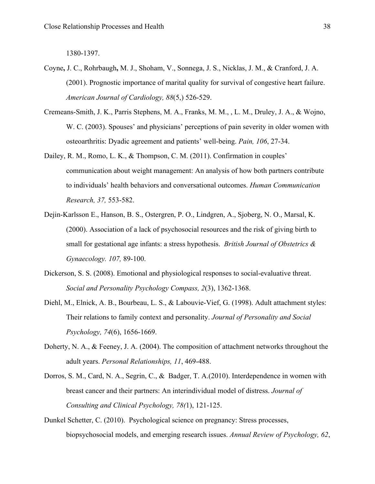1380-1397.

- Coyne**,** J. C., Rohrbaugh**,** M. J., Shoham, V., Sonnega, J. S., Nicklas, J. M., & Cranford, J. A. (2001). Prognostic importance of marital quality for survival of congestive heart failure. *American Journal of Cardiology, 88*(5,) 526-529.
- Cremeans-Smith, J. K., Parris Stephens, M. A., Franks, M. M., , L. M., Druley, J. A., & Wojno, W. C. (2003). Spouses' and physicians' perceptions of pain severity in older women with osteoarthritis: Dyadic agreement and patients' well-being. *Pain, 106*, 27-34.
- Dailey, R. M., Romo, L. K., & Thompson, C. M. (2011). Confirmation in couples' communication about weight management: An analysis of how both partners contribute to individuals' health behaviors and conversational outcomes. *Human Communication Research, 37,* 553-582.
- Dejin-Karlsson E., Hanson, B. S., Ostergren, P. O., Lindgren, A., Sjoberg, N. O., Marsal, K. (2000). Association of a lack of psychosocial resources and the risk of giving birth to small for gestational age infants: a stress hypothesis. *British Journal of Obstetrics & Gynaecology. 107,* 89-100.
- Dickerson, S. S. (2008). Emotional and physiological responses to social-evaluative threat. *Social and Personality Psychology Compass, 2*(3), 1362-1368.
- Diehl, M., Elnick, A. B., Bourbeau, L. S., & Labouvie-Vief, G. (1998). Adult attachment styles: Their relations to family context and personality. *Journal of Personality and Social Psychology, 74*(6), 1656-1669.
- Doherty, N. A., & Feeney, J. A. (2004). The composition of attachment networks throughout the adult years. *Personal Relationships, 11*, 469-488.
- Dorros, S. M., Card, N. A., Segrin, C., & Badger, T. A.(2010). Interdependence in women with breast cancer and their partners: An interindividual model of distress. *Journal of Consulting and Clinical Psychology, 78(*1), 121-125.
- Dunkel Schetter, C. (2010). Psychological science on pregnancy: Stress processes, biopsychosocial models, and emerging research issues. *Annual Review of Psychology, 62*,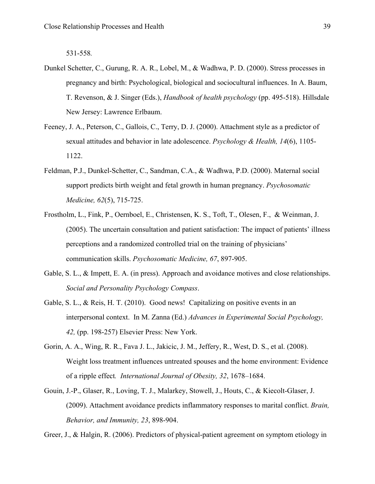531-558*.*

- Dunkel Schetter, C., Gurung, R. A. R., Lobel, M., & Wadhwa, P. D. (2000). Stress processes in pregnancy and birth: Psychological, biological and sociocultural influences. In A. Baum, T. Revenson, & J. Singer (Eds.), *Handbook of health psychology* (pp. 495-518). Hillsdale New Jersey: Lawrence Erlbaum.
- Feeney, J. A., Peterson, C., Gallois, C., Terry, D. J. (2000). Attachment style as a predictor of sexual attitudes and behavior in late adolescence. *Psychology & Health, 14*(6), 1105- 1122.
- Feldman, P.J., Dunkel-Schetter, C., Sandman, C.A., & Wadhwa, P.D. (2000). Maternal social support predicts birth weight and fetal growth in human pregnancy. *Psychosomatic Medicine, 62*(5), 715-725.
- Frostholm, L., Fink, P., Oernboel, E., Christensen, K. S., Toft, T., Olesen, F., & Weinman, J. (2005). The uncertain consultation and patient satisfaction: The impact of patients' illness perceptions and a randomized controlled trial on the training of physicians' communication skills. *Psychosomatic Medicine, 67*, 897-905.
- Gable, S. L., & Impett, E. A. (in press). Approach and avoidance motives and close relationships. *Social and Personality Psychology Compass*.
- Gable, S. L., & Reis, H. T. (2010). Good news! Capitalizing on positive events in an interpersonal context. In M. Zanna (Ed.) *Advances in Experimental Social Psychology, 42,* (pp. 198-257) Elsevier Press: New York.
- Gorin, A. A., Wing, R. R., Fava J. L., Jakicic, J. M., Jeffery, R., West, D. S., et al. (2008). Weight loss treatment influences untreated spouses and the home environment: Evidence of a ripple effect*. International Journal of Obesity, 32*, 1678–1684.
- Gouin, J.-P., Glaser, R., Loving, T. J., Malarkey, Stowell, J., Houts, C., & Kiecolt-Glaser, J. (2009). Attachment avoidance predicts inflammatory responses to marital conflict. *Brain, Behavior, and Immunity, 23*, 898-904.

Greer, J., & Halgin, R. (2006). Predictors of physical-patient agreement on symptom etiology in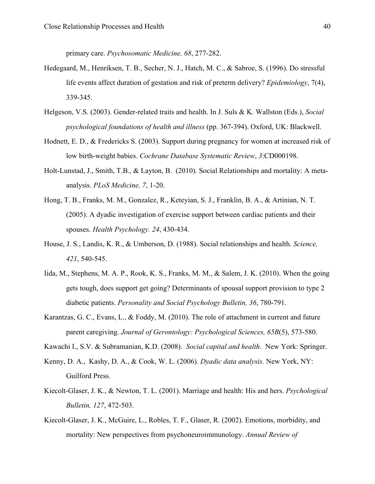primary care. *Psychosomatic Medicine, 68*, 277-282.

- Hedegaard, M., Henriksen, T. B., Secher, N. J., Hatch, M. C., & Sabroe, S. (1996). Do stressful life events affect duration of gestation and risk of preterm delivery? *Epidemiology*, 7(4), 339-345.
- Helgeson, V.S. (2003). Gender-related traits and health. In J. Suls & K. Wallston (Eds.), *Social psychological foundations of health and illness* (pp. 367-394). Oxford, UK: Blackwell.
- Hodnett, E. D., & Fredericks S. (2003). Support during pregnancy for women at increased risk of low birth-weight babies. *Cochrane Database Systematic Review*, *3*:CD000198.
- Holt-Lunstad, J., Smith, T.B., & Layton, B. (2010). Social Relationships and mortality: A metaanalysis. *PLoS Medicine, 7*, 1-20.
- Hong, T. B., Franks, M. M., Gonzalez, R., Keteyian, S. J., Franklin, B. A., & Artinian, N. T. (2005). A dyadic investigation of exercise support between cardiac patients and their spouses. *Health Psychology. 24*, 430-434.
- House, J. S., Landis, K. R., & Umberson, D. (1988). Social relationships and health. *Science, 421*, 540-545.
- Iida, M., Stephens, M. A. P., Rook, K. S., Franks, M. M., & Salem, J. K. (2010). When the going gets tough, does support get going? Determinants of spousal support provision to type 2 diabetic patients. *Personality and Social Psychology Bulletin, 36*, 780-791.
- Karantzas, G. C., Evans, L., & Foddy, M. (2010). The role of attachment in current and future parent caregiving. *Journal of Gerontology: Psychological Sciences, 65B*(5), 573-580.
- Kawachi I., S.V. & Subramanian, K.D. (2008). *Social capital and health*. New York: Springer.
- Kenny, D. A., Kashy, D. A., & Cook, W. L. (2006). *Dyadic data analysis.* New York, NY: Guilford Press.
- Kiecolt-Glaser, J. K., & Newton, T. L. (2001). Marriage and health: His and hers. *Psychological Bulletin, 127*, 472-503.
- Kiecolt-Glaser, J. K., McGuire, L., Robles, T. F., Glaser, R. (2002). Emotions, morbidity, and mortality: New perspectives from psychoneuroimmunology. *Annual Review of*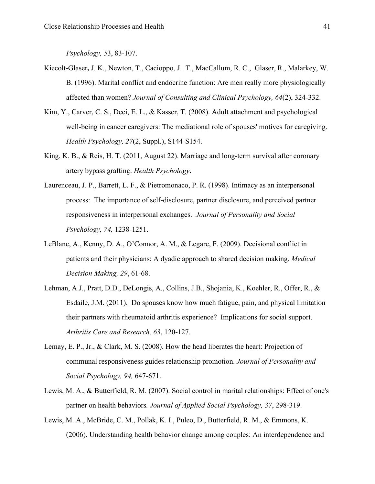*Psychology, 5*3, 83-107.

- Kiecolt**-**Glaser**,** J. K., Newton, T., Cacioppo, J. T., MacCallum, R. C., Glaser, R., Malarkey, W. B. (1996). Marital conflict and endocrine function: Are men really more physiologically affected than women? *Journal of Consulting and Clinical Psychology, 64*(2), 324-332.
- Kim, Y., Carver, C. S., Deci, E. L., & Kasser, T. (2008). Adult attachment and psychological well-being in cancer caregivers: The mediational role of spouses' motives for caregiving. *Health Psychology, 27*(2, Suppl.), S144-S154.
- King, K. B., & Reis, H. T. (2011, August 22). Marriage and long-term survival after coronary artery bypass grafting. *Health Psychology*.
- Laurenceau, J. P., Barrett, L. F., & Pietromonaco, P. R. (1998). Intimacy as an interpersonal process: The importance of self-disclosure, partner disclosure, and perceived partner responsiveness in interpersonal exchanges. *Journal of Personality and Social Psychology, 74,* 1238-1251.
- LeBlanc, A., Kenny, D. A., O'Connor, A. M., & Legare, F. (2009). Decisional conflict in patients and their physicians: A dyadic approach to shared decision making. *Medical Decision Making, 29*, 61-68.
- Lehman, A.J., Pratt, D.D., DeLongis, A., Collins, J.B., Shojania, K., Koehler, R., Offer, R., & Esdaile, J.M. (2011). Do spouses know how much fatigue, pain, and physical limitation their partners with rheumatoid arthritis experience? Implications for social support. *Arthritis Care and Research, 63*, 120-127.
- Lemay, E. P., Jr., & Clark, M. S. (2008). How the head liberates the heart: Projection of communal responsiveness guides relationship promotion. *Journal of Personality and Social Psychology, 94,* 647-671.
- Lewis, M. A., & Butterfield, R. M. (2007). Social control in marital relationships: Effect of one's partner on health behaviors*. Journal of Applied Social Psychology, 37*, 298-319.
- Lewis, M. A., McBride, C. M., Pollak, K. I., Puleo, D., Butterfield, R. M., & Emmons, K. (2006). Understanding health behavior change among couples: An interdependence and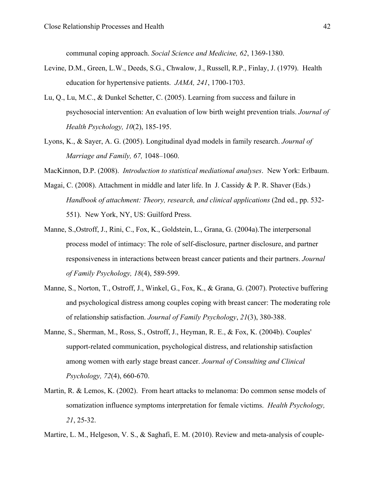communal coping approach. *Social Science and Medicine, 62*, 1369-1380.

- Levine, D.M., Green, L.W., Deeds, S.G., Chwalow, J., Russell, R.P., Finlay, J. (1979). Health education for hypertensive patients. *JAMA, 241*, 1700-1703.
- Lu, Q., Lu, M.C., & Dunkel Schetter, C. (2005). Learning from success and failure in psychosocial intervention: An evaluation of low birth weight prevention trials. *Journal of Health Psychology, 10*(2), 185-195.
- Lyons, K., & Sayer, A. G. (2005). Longitudinal dyad models in family research. *Journal of Marriage and Family, 67,* 1048–1060.
- MacKinnon, D.P. (2008). *Introduction to statistical mediational analyses*. New York: Erlbaum.
- Magai, C. (2008). Attachment in middle and later life. In J. Cassidy & P. R. Shaver (Eds.) *Handbook of attachment: Theory, research, and clinical applications* (2nd ed., pp. 532- 551). New York, NY, US: Guilford Press.
- Manne, S.,Ostroff, J., Rini, C., Fox, K., Goldstein, L., Grana, G. (2004a).The interpersonal process model of intimacy: The role of self-disclosure, partner disclosure, and partner responsiveness in interactions between breast cancer patients and their partners. *Journal of Family Psychology, 18*(4), 589-599.
- Manne, S., Norton, T., Ostroff, J., Winkel, G., Fox, K., & Grana, G. (2007). Protective buffering and psychological distress among couples coping with breast cancer: The moderating role of relationship satisfaction. *Journal of Family Psychology*, *21*(3), 380-388.
- Manne, S., Sherman, M., Ross, S., Ostroff, J., Heyman, R. E., & Fox, K. (2004b). Couples' support-related communication, psychological distress, and relationship satisfaction among women with early stage breast cancer. *Journal of Consulting and Clinical Psychology, 72*(4), 660-670.
- Martin, R. & Lemos, K. (2002). From heart attacks to melanoma: Do common sense models of somatization influence symptoms interpretation for female victims. *Health Psychology, 21*, 25-32.

Martire, L. M., Helgeson, V. S., & Saghafi, E. M. (2010). Review and meta-analysis of couple-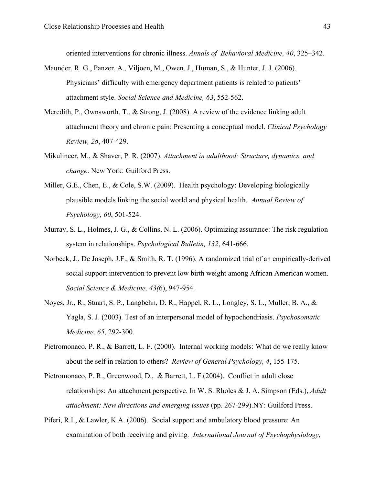oriented interventions for chronic illness. *Annals of Behavioral Medicine, 40*, 325–342.

- Maunder, R. G., Panzer, A., Viljoen, M., Owen, J., Human, S., & Hunter, J. J. (2006). Physicians' difficulty with emergency department patients is related to patients' attachment style. *Social Science and Medicine, 63*, 552-562.
- Meredith, P., Ownsworth, T., & Strong, J. (2008). A review of the evidence linking adult attachment theory and chronic pain: Presenting a conceptual model. *Clinical Psychology Review, 28*, 407-429.
- Mikulincer, M., & Shaver, P. R. (2007). *Attachment in adulthood: Structure, dynamics, and change*. New York: Guilford Press.
- Miller, G.E., Chen, E., & Cole, S.W. (2009). Health psychology: Developing biologically plausible models linking the social world and physical health. *Annual Review of Psychology, 60*, 501-524.
- Murray, S. L., Holmes, J. G., & Collins, N. L. (2006). Optimizing assurance: The risk regulation system in relationships. *Psychological Bulletin, 132*, 641-666.
- Norbeck, J., De Joseph, J.F., & Smith, R. T. (1996). A randomized trial of an empirically-derived social support intervention to prevent low birth weight among African American women. *Social Science & Medicine, 43(*6), 947-954.
- Noyes, Jr., R., Stuart, S. P., Langbehn, D. R., Happel, R. L., Longley, S. L., Muller, B. A., & Yagla, S. J. (2003). Test of an interpersonal model of hypochondriasis. *Psychosomatic Medicine, 65*, 292-300.
- Pietromonaco, P. R., & Barrett, L. F. (2000). Internal working models: What do we really know about the self in relation to others? *Review of General Psychology, 4*, 155-175.
- Pietromonaco, P. R., Greenwood, D., & Barrett, L. F.(2004). Conflict in adult close relationships: An attachment perspective. In W. S. Rholes & J. A. Simpson (Eds.), *Adult attachment: New directions and emerging issues* (pp. 267-299).NY: Guilford Press.
- Piferi, R.I., & Lawler, K.A. (2006). Social support and ambulatory blood pressure: An examination of both receiving and giving*. International Journal of Psychophysiology,*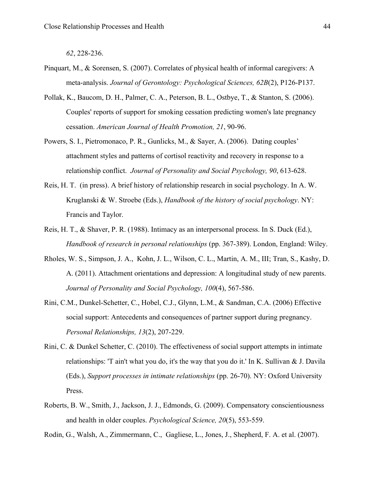*62*, 228-236.

- Pinquart, M., & Sorensen, S. (2007). Correlates of physical health of informal caregivers: A meta-analysis. *Journal of Gerontology: Psychological Sciences, 62B*(2), P126-P137.
- Pollak, K., Baucom, D. H., Palmer, C. A., Peterson, B. L., Ostbye, T., & Stanton, S. (2006). Couples' reports of support for smoking cessation predicting women's late pregnancy cessation. *American Journal of Health Promotion, 21*, 90-96.
- Powers, S. I., Pietromonaco, P. R., Gunlicks, M., & Sayer, A. (2006). Dating couples' attachment styles and patterns of cortisol reactivity and recovery in response to a relationship conflict. *Journal of Personality and Social Psychology, 90*, 613-628.
- Reis, H. T. (in press). A brief history of relationship research in social psychology. In A. W. Kruglanski & W. Stroebe (Eds.), *Handbook of the history of social psychology*. NY: Francis and Taylor.
- Reis, H. T., & Shaver, P. R. (1988). Intimacy as an interpersonal process. In S. Duck (Ed.), *Handbook of research in personal relationships* (pp. 367-389). London, England: Wiley.
- Rholes, W. S., Simpson, J. A., Kohn, J. L., Wilson, C. L., Martin, A. M., III; Tran, S., Kashy, D. A. (2011). Attachment orientations and depression: A longitudinal study of new parents. *Journal of Personality and Social Psychology, 100*(4), 567-586.
- Rini, C.M., Dunkel-Schetter, C., Hobel, C.J., Glynn, L.M., & Sandman, C.A. (2006) Effective social support: Antecedents and consequences of partner support during pregnancy. *Personal Relationships, 13*(2), 207-229.
- Rini, C. & Dunkel Schetter, C. (2010). The effectiveness of social support attempts in intimate relationships: 'T ain't what you do, it's the way that you do it.' In K. Sullivan  $\&$  J. Davila (Eds.), *Support processes in intimate relationships* (pp. 26-70). NY: Oxford University Press.
- Roberts, B. W., Smith, J., Jackson, J. J., Edmonds, G. (2009). Compensatory conscientiousness and health in older couples. *Psychological Science, 20*(5), 553-559.

Rodin, G., Walsh, A., Zimmermann, C., Gagliese, L., Jones, J., Shepherd, F. A. et al. (2007).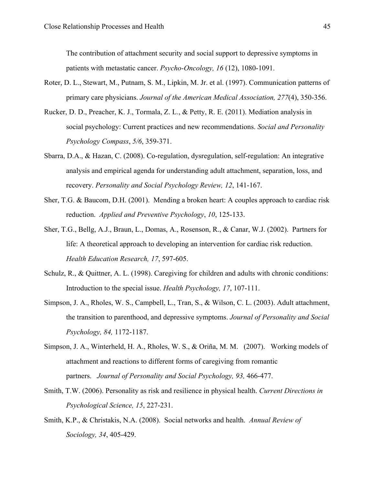The contribution of attachment security and social support to depressive symptoms in patients with metastatic cancer. *Psycho-Oncology, 16* (12), 1080-1091.

- Roter, D. L., Stewart, M., Putnam, S. M., Lipkin, M. Jr. et al. (1997). Communication patterns of primary care physicians. *Journal of the American Medical Association, 277*(4), 350-356.
- Rucker, D. D., Preacher, K. J., Tormala, Z. L., & Petty, R. E. (2011). Mediation analysis in social psychology: Current practices and new recommendations. *Social and Personality Psychology Compass*, *5/6*, 359-371.
- Sbarra, D.A., & Hazan, C. (2008). Co-regulation, dysregulation, self-regulation: An integrative analysis and empirical agenda for understanding adult attachment, separation, loss, and recovery. *Personality and Social Psychology Review, 12*, 141-167.
- Sher, T.G. & Baucom, D.H. (2001). Mending a broken heart: A couples approach to cardiac risk reduction. *Applied and Preventive Psychology*, *10*, 125-133.
- Sher, T.G., Bellg, A.J., Braun, L., Domas, A., Rosenson, R., & Canar, W.J. (2002). Partners for life: A theoretical approach to developing an intervention for cardiac risk reduction. *Health Education Research, 17*, 597-605.
- Schulz, R., & Quittner, A. L. (1998). Caregiving for children and adults with chronic conditions: Introduction to the special issue. *Health Psychology, 17*, 107-111.
- Simpson, J. A., Rholes, W. S., Campbell, L., Tran, S., & Wilson, C. L. (2003). Adult attachment, the transition to parenthood, and depressive symptoms. *Journal of Personality and Social Psychology, 84,* 1172-1187.
- Simpson, J. A., Winterheld, H. A., Rholes, W. S., & Oriña, M. M. (2007). Working models of attachment and reactions to different forms of caregiving from romantic partners. *Journal of Personality and Social Psychology, 93,* 466-477.
- Smith, T.W. (2006). Personality as risk and resilience in physical health. *Current Directions in Psychological Science, 15*, 227-231.
- Smith, K.P., & Christakis, N.A. (2008). Social networks and health. *Annual Review of Sociology, 34*, 405-429.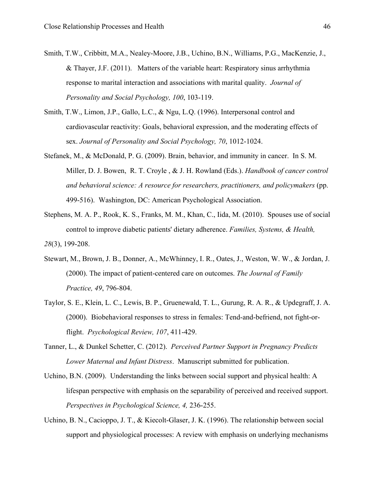- Smith, T.W., Cribbitt, M.A., Nealey-Moore, J.B., Uchino, B.N., Williams, P.G., MacKenzie, J., & Thayer, J.F. (2011). Matters of the variable heart: Respiratory sinus arrhythmia response to marital interaction and associations with marital quality. *Journal of Personality and Social Psychology, 100*, 103-119.
- Smith, T.W., Limon, J.P., Gallo, L.C., & Ngu, L.Q. (1996). Interpersonal control and cardiovascular reactivity: Goals, behavioral expression, and the moderating effects of sex. *Journal of Personality and Social Psychology, 70*, 1012-1024.
- Stefanek, M., & McDonald, P. G. (2009). Brain, behavior, and immunity in cancer. In S. M. Miller, D. J. Bowen, R. T. Croyle , & J. H. Rowland (Eds.). *Handbook of cancer control and behavioral science: A resource for researchers, practitioners, and policymakers* (pp. 499-516). Washington, DC: American Psychological Association.
- Stephens, M. A. P., Rook, K. S., Franks, M. M., Khan, C., Iida, M. (2010). Spouses use of social control to improve diabetic patients' dietary adherence. *Families, Systems, & Health, 28*(3), 199-208.
- Stewart, M., Brown, J. B., Donner, A., McWhinney, I. R., Oates, J., Weston, W. W., & Jordan, J. (2000). The impact of patient-centered care on outcomes. *The Journal of Family Practice, 49*, 796-804.
- Taylor, S. E., Klein, L. C., Lewis, B. P., Gruenewald, T. L., Gurung, R. A. R., & Updegraff, J. A. (2000). Biobehavioral responses to stress in females: Tend-and-befriend, not fight-orflight. *Psychological Review, 107*, 411-429.
- Tanner, L., & Dunkel Schetter, C. (2012). *Perceived Partner Support in Pregnancy Predicts Lower Maternal and Infant Distress*. Manuscript submitted for publication.
- Uchino, B.N. (2009). Understanding the links between social support and physical health: A lifespan perspective with emphasis on the separability of perceived and received support. *Perspectives in Psychological Science, 4,* 236-255.
- Uchino, B. N., Cacioppo, J. T., & Kiecolt-Glaser, J. K. (1996). The relationship between social support and physiological processes: A review with emphasis on underlying mechanisms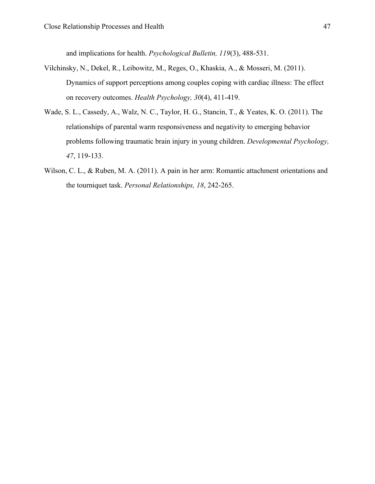and implications for health. *Psychological Bulletin, 119*(3), 488-531.

- Vilchinsky, N., Dekel, R., Leibowitz, M., Reges, O., Khaskia, A., & Mosseri, M. (2011). Dynamics of support perceptions among couples coping with cardiac illness: The effect on recovery outcomes. *Health Psychology, 30*(4), 411-419.
- Wade, S. L., Cassedy, A., Walz, N. C., Taylor, H. G., Stancin, T., & Yeates, K. O. (2011). The relationships of parental warm responsiveness and negativity to emerging behavior problems following traumatic brain injury in young children. *Developmental Psychology, 47*, 119-133.
- Wilson, C. L., & Ruben, M. A. (2011). A pain in her arm: Romantic attachment orientations and the tourniquet task. *Personal Relationships, 18*, 242-265.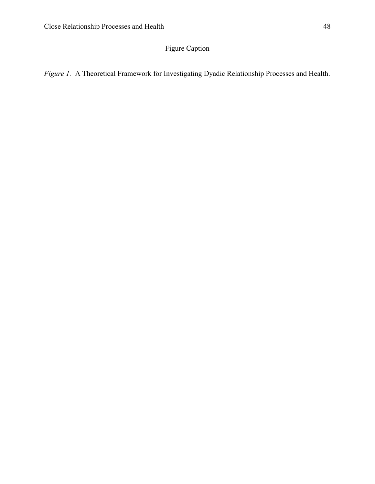# Figure Caption